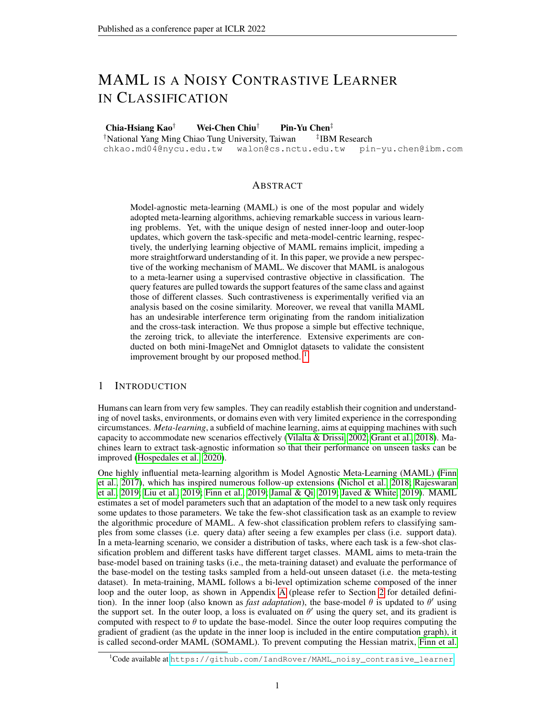# MAML IS A NOISY CONTRASTIVE LEARNER IN CLASSIFICATION

Chia-Hsiang Kao† Wei-Chen Chiu† Pin-Yu Chen‡

†National Yang Ming Chiao Tung University, Taiwan ‡

chkao.md04@nycu.edu.tw walon@cs.nctu.edu.tw pin-yu.chen@ibm.com

<sup>‡</sup>IBM Research

#### ABSTRACT

Model-agnostic meta-learning (MAML) is one of the most popular and widely adopted meta-learning algorithms, achieving remarkable success in various learning problems. Yet, with the unique design of nested inner-loop and outer-loop updates, which govern the task-specific and meta-model-centric learning, respectively, the underlying learning objective of MAML remains implicit, impeding a more straightforward understanding of it. In this paper, we provide a new perspective of the working mechanism of MAML. We discover that MAML is analogous to a meta-learner using a supervised contrastive objective in classification. The query features are pulled towards the support features of the same class and against those of different classes. Such contrastiveness is experimentally verified via an analysis based on the cosine similarity. Moreover, we reveal that vanilla MAML has an undesirable interference term originating from the random initialization and the cross-task interaction. We thus propose a simple but effective technique, the zeroing trick, to alleviate the interference. Extensive experiments are conducted on both mini-ImageNet and Omniglot datasets to validate the consistent improvement brought by our proposed method.  $\frac{1}{1}$  $\frac{1}{1}$  $\frac{1}{1}$ 

## 1 INTRODUCTION

Humans can learn from very few samples. They can readily establish their cognition and understanding of novel tasks, environments, or domains even with very limited experience in the corresponding circumstances. *Meta-learning*, a subfield of machine learning, aims at equipping machines with such capacity to accommodate new scenarios effectively (Vilalta & Drissi, 2002; Grant et al., 2018). Machines learn to extract task-agnostic information so that their performance on unseen tasks can be improved (Hospedales et al., 2020).

One highly influential meta-learning algorithm is Model Agnostic Meta-Learning (MAML) (Finn et al., 2017), which has inspired numerous follow-up extensions (Nichol et al., 2018; Rajeswaran et al., 2019; Liu et al., 2019; Finn et al., 2019; Jamal & Qi, 2019; Javed & White, 2019). MAML estimates a set of model parameters such that an adaptation of the model to a new task only requires some updates to those parameters. We take the few-shot classification task as an example to review the algorithmic procedure of MAML. A few-shot classification problem refers to classifying samples from some classes (i.e. query data) after seeing a few examples per class (i.e. support data). In a meta-learning scenario, we consider a distribution of tasks, where each task is a few-shot classification problem and different tasks have different target classes. MAML aims to meta-train the base-model based on training tasks (i.e., the meta-training dataset) and evaluate the performance of the base-model on the testing tasks sampled from a held-out unseen dataset (i.e. the meta-testing dataset). In meta-training, MAML follows a bi-level optimization scheme composed of the inner loop and the outer loop, as shown in Appendix A (please refer to Section 2 for detailed definition). In the inner loop (also known as *fast adaptation*), the base-model  $\theta$  is updated to  $\theta'$  using the support set. In the outer loop, a loss is evaluated on  $\theta'$  using the query set, and its gradient is computed with respect to  $\theta$  to update the base-model. Since the outer loop requires computing the gradient of gradient (as the update in the inner loop is included in the entire computation graph), it is called second-order MAML (SOMAML). To prevent computing the Hessian matrix, Finn et al.

<span id="page-0-0"></span><sup>&</sup>lt;sup>1</sup>Code available at [https://github.com/IandRover/MAML\\_noisy\\_contrasive\\_learner](https://github.com/IandRover/MAML_noisy_contrasive_learner)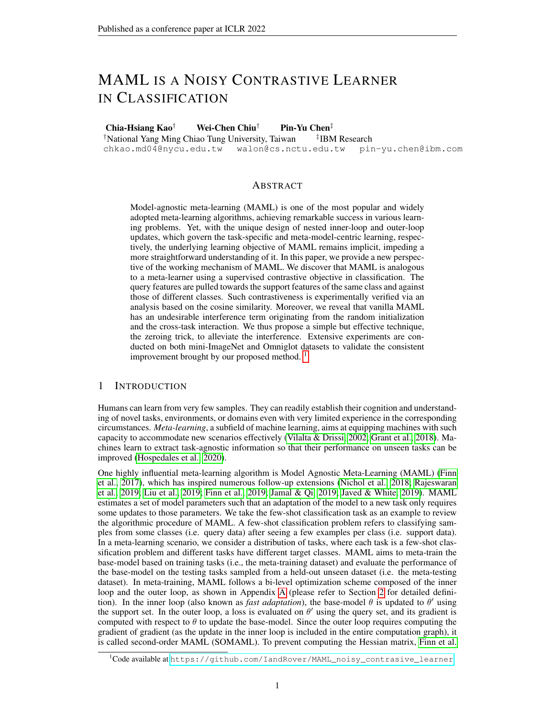(2017) propose rst-order MAML (FOMAML) that uses the gradient computed with respect to the inner-loop-updated parametersto update the base-model.

The widely accepted intuition behind MAML is that the models an euragedo learn generalpurpose representations which are broadly applicable not only to the seen tasks but also to novel tasks (Finn et al., 2017; Raghu et al., 2020; Goldblum et al., 2020). Raghu et al. (2020) con-rm this perspective by showing that during fast adaptation, the majority of changes being made are in the nal linear layers. In contrast, the convolution layers (as the feature encoder) remain almost static. This implies that the models trained with MAML learn a good feature representation and that they only have to change the linear mapping from features to outputs during the fast adaptation. Similar ideas of freezing feature extractors during the inner loop have also been explored (Lee et al., 2019; Bertinetto et al., 2019; Liu et al., 2020), and have been held as an assumption in theoretical works (Du et al., 2021; Tripuraneni et al., 2020; Chua et al., 2021).

While this intuition sounds satisfactory, we step further and ask the following fundamental questions: (1) In what sense does MAMLguideany model to learn general-purpose representations? (2) How do the inner and outer loops in the training mechanism of MAML collaboratively prompt to achieve so? (3) What is the role of support and query data, and how do they interact with each other? In this paper, we answer these questions and give new insights on the working mechanism of MAML, which turns out to be closely connected to supervised contrastive learning (SCL)

Here, we provide a sketch of our analysis in Figure 1. We consider a setting of (a) a 5-way 1-shot paradigm of few-shot learning, (b) the mean square error (MSE) between the one-hot encoding of groundtruth label and the outputs as the objective function, and (c) MAML with a single inner-loop update. At the beginning of the inner loop, we set the linear layero zero. Then, the inner loop update of <sup>0</sup> is equivalent to adding the support features to In the outer loop, the output of a query sample<sub>t</sub> is actually the inner product between the query feature (and all support features (the learning rate is omitted for now). As the groundtruth is an one-hot vector, the encoder is trained to either minimize the inner product between the query features and the support features (when they are from different classes, as shown in the green box), or to pull the inner product between the query features and the support features to then they have the same label, as shown in the red box). Therefore, the inner loop and the outer loop together manifest a SCL objective. Particularly, as the vanilla implementation of MAML uses non-zero (random) initialization for the linear layer, we will show such initialization leads to a noisy SCL objective which would impede the training.

In this paper, we rstly review a formal de nition of SCL, present a more general case of MAML with cross entropy loss in classi cation, and show the underlying learning protocol of vanilla MAML as an interfered SCL in Section 2. We then experimentally verify the supervised contrastiveness of MAML and propose to mitigate the interference with our simple but effective technique of the zeroinitialization and zeroing trick (cf. Section 3). In summary, our main contributions are three-fold:

- We show MAML is implicitly an SCL algorithm in classi cation and the noise comes from the randomly initialized linear layer and the cross-task interaction.
- We verify the inherent contrastiveness of MAML based on the cosine similarity analysis.
- Our experiments show that applying the zeroing trick induces a notable improvement in testing accuracy during training and that that during meta-testing, a pronounced increase in the accuracy occurs when the zeroing trick is applied.

# 2 WHY MAML IS IMPLICITLY A NOISY SUPERVISED CONTRASTIVE ALGORITHM?

### 2.1 PRELIMINARY: SUPERVISEDCONTRASTIVE LEARNING

In this work, we aim to bridge MAML and supervised contrastive learning (SCL) and attribute the success of MAML to SCL's capacity in learning good representations. Thus, we would like to introduce SCL brie y.

 $2$ We use the termsupervised contrastivenets refer to the setting of using ground truth label information to differentiate positive samples and negative samples (Khosla et al., 2020). This setting is different from (unsupervised/self-supervised) ntrastive learning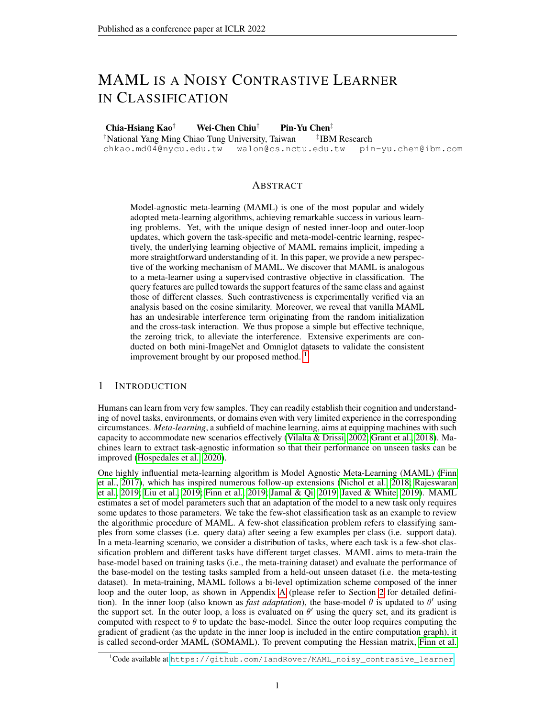Figure 1: A step-by-step illustration showing the SCL objective underlying MAML. Assume the linear layerw<sup>0</sup> to be zero, we nd that, during the inner loop, the column ofw<sup>0</sup> is added with the support features of classin other words, the support features are memorized by the linear layer during the inner loop. In the outer loop, the output of a query sample is the inner product  $\phi$ f andw<sup>1</sup>, which is essentially the inner product of the query features and all the support features. The outer loop loss aims to minimize the MSE between the inner products and the one-hot label. Thus, MAML displays the characteristic of supervised contrastiveness. Besides, the support data acts as positive samples when the labels of support and query data match, and vice versa.

Supervised contrastive learning, proposed by Khosla et al. (2020), is a generalization of several metric learning algorithms, such as triplet loss and N-pair loss (Schroff et al., 2015; Sohn, 2016), and has shown the best performance in classi cation compared to SimCLR and CrossEntropy. In Khosla et al. (2020), SCL is described as "contrasts the set of all samples from the same class as positives against the negatives from the remainder of the batch" and "embeddings from the same class are pulled closer together than embeddings from different classes." For a sathpleabel information is leveraged to indicate positive samples (i.e., samples having the same label as sample s) and negative samples (i.e., samples having different labels to sample loss of SCL is designed to increase the similarity (or decrease the metric distance) of embeddings of positive samples and to reduce the similarity (or increase the metric distance) of embeddings of negative samples (Khosla et al., 2020). In essence, SCL combines supervised learning and contrastive learning and differs from supervised learning in that the loss contains a measurement of the similarity (or distance) between the embedding of a sample and embeddings of its positive/negative sample pairs.

Now we give a formal de nition of SCL. For a set **M** samples drawn from **a**-class dataset. Let i 2  $I = \overline{f}$  1; :::; N g be the index of an arbitrary sample. Let  $\overline{f}$  = I n f ig, P(i) be the set of indices of all positive samples of sampleand  $N(i) = A(i)$  n P(i) be the set of indices of all negative samples of sampleLet  $z_i$  indicates the embedding of sample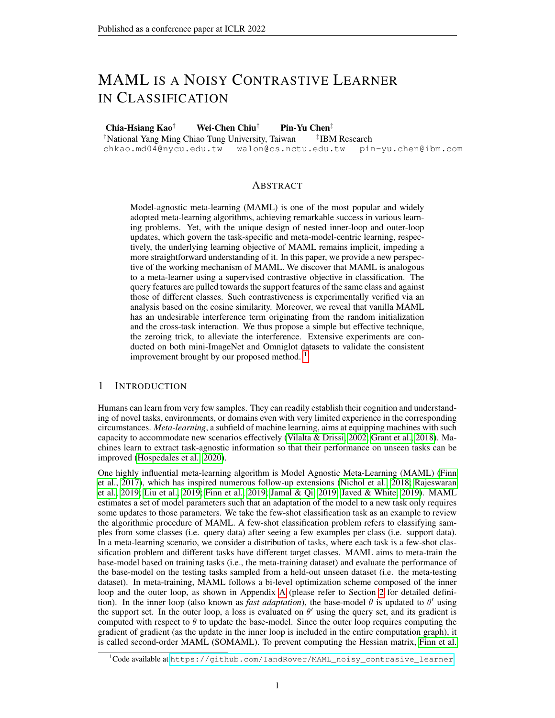De nition 1 Let M<sub>sim</sub> be a measurement of similarity (e.g., inner product, cosine similarity). Training algorithms that adopt loss of the following form belong to SCL:<br>  $X$ 

$$
L_{SCL} = \n\begin{cases}\n\text{c}_{p;i} M_{sim} (z_i; z_p) + \n\text{c}_{n;i} M_{sim} (z_i; z_n) + \text{c}_{n;i} (w_i; z_n) + \text{c}_{n;i} \\
\text{d}_{p2P(i)} & i \text{ } n2N(i)\n\end{cases}\n\tag{1}
$$

wherec<sub>p;i</sub> < 0 and $\varsigma^\text{+}_{\text{n};i}$  > 0 for all n, p andi; and c is a constant independent of samples.

We further de ne that a training algorithm that follows  $\mathbf{F}$ t), but with either (a) $c_{\text{n;i}}^+$  < 0 for some n; i or (b) c is a constant dependent of samples, belongrotoy SCL

#### 2.2 PROBLEM SETUP

We provide the detailed derivation to show that MAML is implicitly a noisy SCL, where we adopt the few-shot classi cation as the example application. In this section, we focus on the meta-training period. Consider drawing a batch of tas  $\mathbb{R}_1$ ; ::;  $T_{N_{\text{batch}}}$  g from a meta-training task distribution D. Each taskT<sub>n</sub> contains a support s& and a query setQ<sub>n</sub>, whereS<sub>n</sub> = f(s<sub>m</sub>;t<sub>m</sub>)g<sub>m=1</sub> N<sub>shot</sub>,  $\mathsf{Q}_\mathsf{n} \ = \ \mathsf{f} \, (\mathsf{q}_\mathsf{m}\,;\mathsf{u}_\mathsf{m}) \mathsf{g}_{\mathsf{m-1}}^{\mathsf{N}\, \mathsf{way}} \, \overset{\mathsf{N}\, \mathsf{query}}{\longrightarrow}\ , \, \mathsf{s}_\mathsf{m}\,;\mathsf{q}_\mathsf{m} \ \ 2 \ \ \mathsf{R}^{\,\mathsf{N}\, \mathsf{in}} \ \ \mathsf{area} \ \mathsf{samples}, \ \mathsf{and}_\mathsf{H} \,;\mathsf{u}_\mathsf{m} \ \ 2 \ \ \mathsf{f} \ \ \mathsf{1};...; \mathsf{N}\$ are labels. We denote <sub>way</sub> the number of classes in each task,  $\hat{a} \hat{n} d_{\text{shot}}$ ; N<sub>query</sub> g respectively the number of support and query samples per class. The architecture of our base-model comprises of a convolutional encoder:  $R^{N_{in}}$  !  $R^{N_{f}}$  (parameterized by), a fully connected linear head w 2 R<sup>N<sub>f</sub> Nway</sup>, and a Softmax output layer, whelib is the dimension of the feature space. We denote the <sup>th</sup> column ofw  $a_{\text{SW}_k}$ . Note that the base-model parametersonsist of andw.

As shown in Appendix A, both FOMAML and SOMAML adopt a training strategy comprising the inner loop and the outer loop. At the beginning of a meta-training iteration, we sample tasks. For each tas  $K_n$ , we perform inner loop updates using the inner loop loss (c.f. Eq. (2)) evaluated on the support data, and then evaluate the outer loop loss (c.f. Eq. (3)) on the updated base-model using the query data. In the step of the inner loop, the parameters  $\frac{1}{1}$ , w<sup>i 1</sup>g are updated to f' <sup>i</sup>; w<sup>i</sup>g using the multi-class cross entropy loss evaluated on the support d&tæset

$$
L_{f^{+}i;w^{i}g;S_{n}} = \sum_{(s;t)}^{N_{\text{May}}} \sum_{S_{n} \atop j=1}^{N_{\text{May}}} 1_{j=t} [log \frac{exp(-^{i}(s)^{>}w_{j}^{i})}{k_{\text{may}}^{N_{\text{way}}}exp(-^{i}(s)^{>}w_{k}^{i})}]
$$
(2)

After N<sub>step</sub> inner loop updates, we compute the outer loop loss using the quer@data

$$
L_{f^{\perp N \text{ step }};w^{N \text{ step }}g;Q_{n}} = E_{(q;u)}[log P \frac{\exp(-N \text{ step } (q)^{>}w_{u}^{N \text{ step }})}{\log R}]}^{\exp(-N \text{ step } (q)^{>}w_{u}^{N \text{ step }})}]
$$
(3)

Then, we sum up the outer loop losses of all tasks, and perform gradient descent to update the base-model's initial parameters  $0$ ; w $^{0}$ g.

To show the supervised contrastiveness entailed in MAML, we adopt an assumptitione Enacoder

is Frozen during the nner Loop (the EFIL assumption) and we discuss the validity of the assumption in Section 2.6. Without loss of generality, we consider training models with MAML with  $N<sub>batch</sub> = 1$  and  $N<sub>step</sub> = 1$ , and we discuss the generalized version in Section 2.6. For simplicity, thek<sup>th</sup> element of model outpu<del>t</del>  $\frac{\exp(-(s)^>w_k^0)}{\frac{1}{s-1}\exp(-(s)^>w_j^0)}$  (respectively  $\frac{\exp(-(q)^>w_k^{-1})}{\frac{w}{s-1}\exp(-(q)^>w_j^{-1})}$ ) of sample s (respectivelyq) is denoted as<sub>k</sub>s(respectively g).

### 2.3 INNER LOOP AND OUTER LOOPUPDATE OFLINEAR LAYER AND ENCODER

In this section, we primarily focus on the update of parameters in the case of FOMAML. The full derivation and discussion of SOMAML are provided in Appendix B.

Inner loop update of the linear layer. In the inner loop, the linear layer  $^0$  is updated tov  $^1$  with a learning rate as shown in Eq. (4) in both FOMAML and SOMAML. In contrast to the example in Figure 1, the columns of the linear layer are added with the weighted sum of the features extracted from support samples (i.e., support features). Compar**ed**  $\mathfrak{b}$ w $_{\mathsf{k}}$ <sup>1</sup> is pushed towards the support features of the same class (i.e., class with strength of  $s_k$ , while being pulled away from the support features of different classes with strength of  $s$ 

$$
w_k^1 = w_k^0
$$
  $\frac{Q \psi_k}{Q \psi_k^0} = w_k^0 + \frac{E}{(s,t) S} (1_{k=t} S_k)$  (s) (4)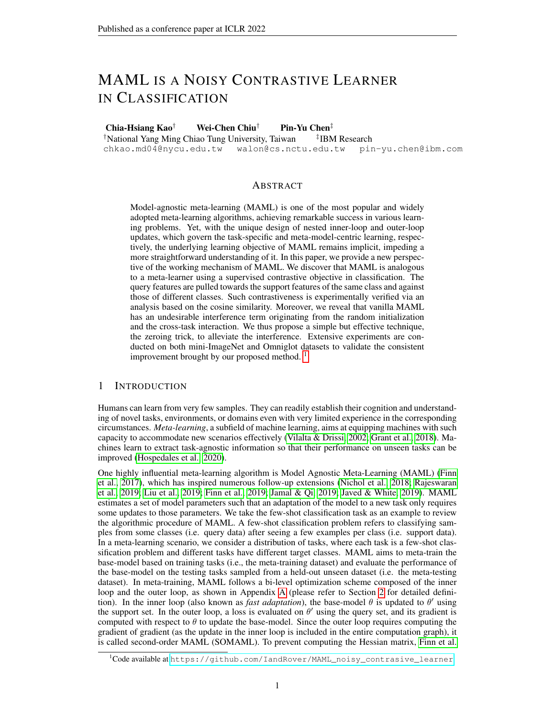Outer loop update of the linear layer. In the outer loop $w^0$  is updated using the query data with a learning rate . For FOMAML, the nal linear layer is updated as follows.

$$
w_k^{00} = w_k^0 \qquad \frac{Q \mu_{k; w^1 g; Q}}{Q \nu_k^1} = w_k^0 + \sum_{(q; u) Q} (1_{k=u} - q_k) (q) \qquad (5)
$$

Note that the computation of qequires the inner-loop updated<sup>1</sup>. Generally speaking, Eq. (5) resembles Eq. (4). It is obvious that, in the outer loop, the query features are added weightedly to the linear layer, and the strength of change relates to the output value. In other words, after the outer loop update, the linear layer memorizes the query features of current tasks. This can crasse a task interferenc because in the next inner loop there would be additional inner products between the support features of the next tasks and the query features of the current tasks.

Outer loop update of the encoder.Using the chain rule, the gradient of the outer loop loss with respect to (i.e., the parameters of the encoder) is given  $\mathbb{B}_{\Phi_{\omega}}^{\mathbb{Q}_{L}^{\vee} \times 1}$  and  $\mathbb{Q}_{\{q\}}^{\mathbb{Q}_{L_{1}}^{\vee} \times 1}$  and  $\mathbb{Q}_{\{q\}}^{\mathbb{Q}_{L_{2}}^{\vee} \times 1}$ @(q) <u>@(q)</u> +

 $E_{(s;t)}$  s  $\frac{\omega L_{f^{\prime};\ w^1g;Q}}{\omega(s)}$ @(s)  $\frac{\mathcal{Q}_{\cdot}(\mathsf{s})}{\mathcal{Q}_{\cdot}^{\cdot}},$  where the second term can be neglected when FOMAML is considered. Below, we take a deeper look at the backpropagated error of one querlogia Q. The full derivation is provided in Appendix B.2.

$$
\frac{\textcircled{1}_{k_{\cdot}^{2} \text{ with } q_{\cdot}^{2} \text{ with } q_{\cdot}^{2} \text{ with } q_{\cdot}^{2} \text{ with } q_{\cdot}^{2} \text{ with } q_{\cdot}^{2} \text{ with } q_{\cdot}^{2} \text{ with } q_{\cdot}^{2} \text{ with } q_{\cdot}^{2} \text{ with } q_{\cdot}^{2} \text{ with } q_{\cdot}^{2} \text{ with } q_{\cdot}^{2} \text{ with } q_{\cdot}^{2} \text{ with } q_{\cdot}^{2} \text{ with } q_{\cdot}^{2} \text{ with } q_{\cdot}^{2} \text{ with } q_{\cdot}^{2} \text{ with } q_{\cdot}^{2} \text{ with } q_{\cdot}^{2} \text{ with } q_{\cdot}^{2} \text{ with } q_{\cdot}^{2} \text{ with } q_{\cdot}^{2} \text{ with } q_{\cdot}^{2} \text{ with } q_{\cdot}^{2} \text{ with } q_{\cdot}^{2} \text{ with } q_{\cdot}^{2} \text{ with } q_{\cdot}^{2} \text{ with } q_{\cdot}^{2} \text{ with } q_{\cdot}^{2} \text{ with } q_{\cdot}^{2} \text{ with } q_{\cdot}^{2} \text{ with } q_{\cdot}^{2} \text{ with } q_{\cdot}^{2} \text{ with } q_{\cdot}^{2} \text{ with } q_{\cdot}^{2} \text{ with } q_{\cdot}^{2} \text{ with } q_{\cdot}^{2} \text{ with } q_{\cdot}^{2} \text{ with } q_{\cdot}^{2} \text{ with } q_{\cdot}^{2} \text{ with } q_{\cdot}^{2} \text{ with } q_{\cdot}^{2} \text{ with } q_{\cdot}^{2} \text{ with } q_{\cdot}^{2} \text{ with } q_{\cdot}^{2} \text{ with } q_{\cdot}^{2} \text{ with } q_{\cdot}^{2} \text{ with } q_{\cdot}^{2} \text{ with } q_{\cdot}^{2} \text{ with } q_{\cdot}^{2} \text{ with } q_{\cdot}^{2} \text{ with } q_{\cdot}^{2} \text{ with } q_{\cdot}^{2} \text{ with } q_{\cdot}^{2} \text{ with } q_{\cdot}^{2} \text{ with } q_{\cdot}^{2} \text{ with } q_{\cdot}^{2} \text{ with } q_{\cdot}^{2} \text
$$

#### 2.4 MAML IS A NOISY CONTRASTIVE LEARNER

Reformulating the outer loop loss for the encoder as a noisy SCL loss.We can observe from Eq. (6) that the actual loss for the encoder (evaluated on a single quer $\varphi$  data Q) is as the following.

$$
L_{f': w^{1}g; q} = \bigvee_{j=1}^{N_{\mathcal{X}^{ay}}} (q_{j}^{1_{j=u}})w_{j}^{0} \qquad (q) + \bigoplus_{(s,t)}^{N_{\mathcal{X}^{ay}}} s \bigg[ \bigotimes_{j=1}^{N_{\mathcal{X}^{ay}}} q_{j} s_{j} + s_{u} + q_{t}^{1_{t=u}} (s)^{3} \qquad (q) \qquad (7)
$$

For SOMAML, the range of "stop gradient" in the second term is different:

$$
L_{f': w^{1}g; q} = \bigvee_{j=1}^{N_{\mathcal{X}^{ay}}} (q_{j}^{1_{j=u}})w_{j}^{0} \qquad (q) + \bigoplus_{(s,t)}^{N_{\mathcal{X}^{ay}}} s \bigg[ \bigotimes_{j=1}^{N_{\mathcal{X}^{ay}}} q_{j} s_{j} + s_{u} + q_{t}^{1_{t=u}} \bigg] (s)^{3} (q) \qquad (8)
$$

With these two reformulations, we observe the essential difference between FOMAML and SO-MAML is the range of stop gradient. We provide detailed discussion and instinctive illustration in Appendix B.5 on how this explains the phenomenon that SOMAML often leads to faster convergence. To better deliberate the effect of each term in the reformulated outer loop loss, we de ne the rst term in Eq. (7) or Eq. (8) ashterference term the second term assisy contrastive term and the coef cients  $P \overset{\text{of}}{\underset{j=1}{\text{N}} \underset{q_j}{\text{N}} \text{S}} + \text{S}_u + \text{Q}_t$  1<sub>t=u</sub> ascontrastive coef cients.

Understanding the interference term. In the case of  $= u$ , the outer loop loss forces the model to minimize( $q_j$   $\bar{\phantom{j}}$  1) $w_j$ <sup>0></sup> (q). This can be problematic because (a) at the beginning of trai**w**i $\hbar$ g, is assigned with random values and  $\!\langle \!\!\langle b \rangle\!\!\rangle$  is added with query features of previous tasks as shown in Eq. (5). Consequently,(q) is pushed to a direction composed of previous query features or to a random direction, introducing an unneces anos-task interference aninitialization interference that slows down the training of the encoder. Noting that the cross-task interference also occurs at the testing period, since, at testing stage, is already added with query features of training tasks, which can be an interference to testing tasks.

Understanding the noisy contrastive term.When the query and support data have the same label Gracistanding the holty contrastive term: when the query and support data have the same<br>(i.e.,  $u = t$ ), e.g., class, the contrastive coef cients becomes  $\int_{z=2}^{x} q_1 s q_3 + s_1 + q_1$  1, which is  $P_{N_{\text{way}}}^{N_{\text{way}}}$  q<sub>j</sub>  $s_j$   $(1 \quad q_1)(1 \quad s_1) < 0$ . This indicates the encoder would be updated to maximize the inner product between(q) and the support features of the same class. However, when the query and support data are in different classes, the sign of the contrastive coef cient can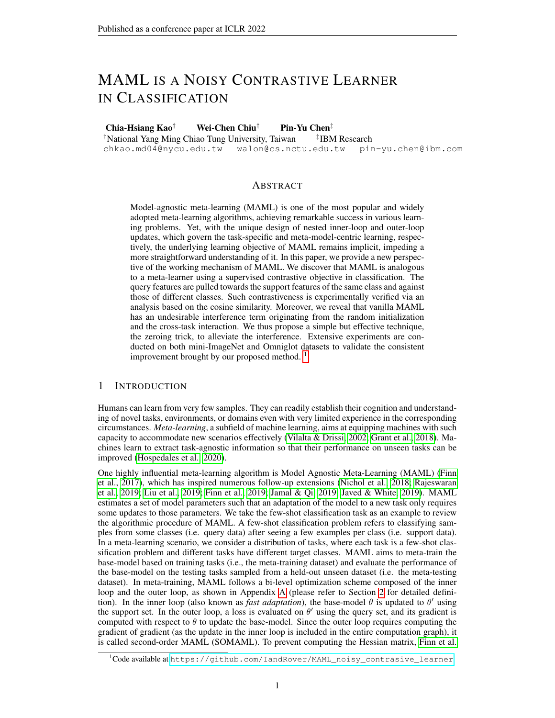sometimes be negative. The outer loop loss thus cannot well contrast the query features against the support features of different classes, making this loss term not an ordinary SCL loss.

To better illustrate the in uence of the interference term and the noisy contrastive term, we provide an ablation experiment in Appendix B.7. Theorem 1 below formally connects MAML to SCL.

Theorem 1 With the EFIL assumption, FOMAML is a noisy SCL algorithm. With assumptions of (a) EFIL and (b) a single inner-loop update, SOMAML is a noisy SCL algorithm.

Proof: For FOMAML, both Eq. (7) (one inner loop update step) and Eq. (26) (multiple inner loop update steps) follows De nition 1. For SOMAML, Eq. (8) follows De nition 1.

Introduction of the zeroing trick makes Eq. (7) and Eq. (8) SCL losses. To tackle the interference term and make the contrastive coef cients more accurate, we introduce the zeroing trick: setting the  $w<sup>0</sup>$  to be zero after each outer loop update, as shown in Appendix A. With the zeroing trick, the original outer loop loss (of FOMAML) becomes

$$
L_{f';w^1g;q} = E_{(s;t)} G_{(t)}(q_t^1_{t=u}) (s)^> (q)
$$
 (9)

For SOMAML, the original outer loop loss becomes

 $L_{f^{\prime}; w^1 g; q} = E_{(s;t)}(q_t 1_{t=u})$ stop gradient  $(s)^{>}$  (q) (10)

The zeroing trick brings two nontrivial effects: (a) eliminating the interference term in both Eq. (7) and Eq. (8); (b) making the contrastive coef cients follow SCL. For (b), since all the predictive values of support data become the same, i<sub>k</sub>e<sub>न</sub> solutional the contrastive coef cient becomes q  $1_{t=u}$ , which is negative when the support and query data have the same label, and positive otherwise. With the zeroing trick, the contrastive coef cient follows the SCL loss, as summarized below.

Corollary 1 With mild assumptions of (a) EFIL, (b) a single inner-loop update and (c) training with the zeroing trick (i.e., the linear layer is zeroed at the end of each outer loop), both FOMAML and SOMAML are SCL algorithms.

Proof: Both Eq. (9) and Eq. (10) follow De nition 1.

The introduction of the zeroing trick makes the relationship between MAML and SCL more straightforward. Generally speaking, by connecting MAML and SCL, we can better understand other MAML-based meta-learning studies.

### 2.5 RESPONSES TOQUESTIONS IN SECTION 1

In what sense does MAML guide any model to learn general-purpose representations?nder the EFIL assumption, MAML is a noisy SCL algorithm in a classi cation paradigm. The effectiveness of MAML in enabling models to learn general-purpose representations can be attributed to the SCL characteristics of MAML.

How do the inner and outer loops in the training mechanism of MAML collaboratively prompt to achieve so?MAML adopts the inner and outer loops to perform noisy SCL sequentially. In the inner loop, the features of support data are memorized bia inner-loop update. In the outer loop, the softmax output of the query data thus contains the inner products between the support features and the query feature.

What is the role of support and query data, and how do they interact with each other?We show that the original loss in MAML can be reformulated as a loss term containing the inner products of the embedding of the support and query data. In FOMAML, the support features act as the reference, while the query features are updated to move towards the support features of the same class and against those of the different classes.

### 2.6 GENERALIZATION OF OUR ANALYSIS

In Appendix C, we provide the analysis where  $\epsilon_{\text{Batch}}$  1 and  $N_{step}$  1. For the EFIL assumption, it can hardly be dropped because the behavior of the updated encoder is intractable. Besides, Raghu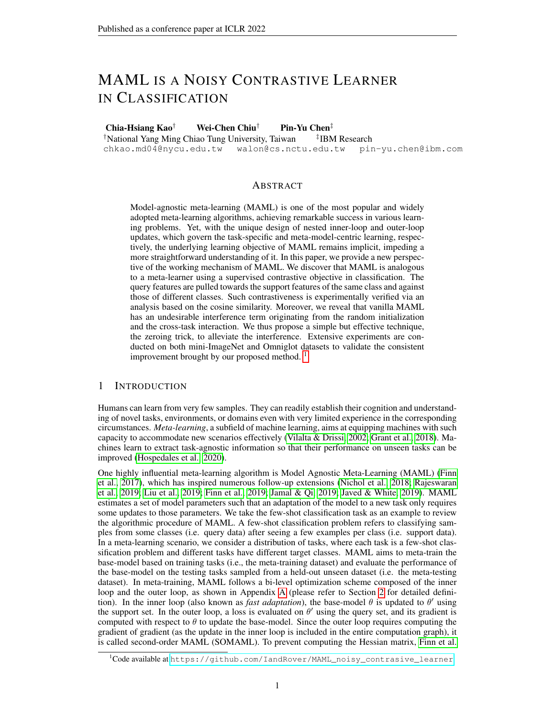et al. (2020) show that the representations of intermediate layers do not change notably during the inner loop of MAML, and thus it is understood that the main function of the inner loop is to change the nal linear layer. Furthermore, the EFIL assumption is empirically reasonable, since previous works (Raghu et al., 2020; Lee et al., 2019; Bertinetto et al., 2019; Liu et al., 2020) yield comparable performance while leaving the encoder untouched during the inner loop.

With our analysis, one may notice that MAML is approximately a metric-based few-shot learning algorithm. From a high-level perspective, under the EFIL assumption, second-order MAML is similar to metric-based few-shot learning algorithms, such as MatchingNet (Vinyals et al., 2016), Prototypical network (Snell et al., 2017), and Relation network (Sung et al., 2018). The main difference lies in the metric and the way prototypes are constructed. Our work follows the setting adopted by MAML, such as using negative LogSoftmax as objective function, but we can effortlessly generalize our analysis to a MSE loss as had been shown in Figure 1. As a result, our work points out a new research direction in improving MAML by changing the objective functions in the inner and the outer loops, e.g., using MSE for the inner loop but negative LogSoftmax for the outer loop. Besides, in MAML, we often obtain the logits by multiplying the features by the linear weigh Our work implies future direction as to alternatively substitute this inner product operation with other metrics or other similarity measurements such as cosine similarity or negative Euclidean distance.

# 3 EXPERIMENTAL RESULTS

In this section, we provide empirical evidence of the supervised contrastiveness of MAML and show that zero-initialization of  $v^0$ , reduction in the initial norm of  $v^0$ , or the application of zeroing trick can speed up the learning pro le. This is applicable to both SOMAML and FOMAML.

# 3.1 SETUP

We conduct our experiments on the mini-ImageNet dataset (Vinyals et al., 2016; Ravi & Larochelle, 2017) and the Omniglot dataset (Lake et al., 2015). For the results on the Omniglot dataset, please refer to Appendix E. For the mini-ImageNet, it contable 84 RGB images of 100 classes from the ImageNet dataset with 600 samples per class. We split the dataset into 64, 16 and 20 classes for training, validation, and testing as proposed in (Ravi & Larochelle, 2017). We do not perform hyperparameter search and thus are not using the validation data. For all our experiments of applying MAML into few-shot classi cation problem, where we adopt two experimental settings: 5-way 1shot and 5-way 5-shot, with the batch six  $s_{\text{factor}}$  being 4 and 2, respectively (Finn et al., 2017). The few-shot classi cation accuracy is calculated by averaging the results over 400 tasks in the test phase. For model architecture, optimizer and other experimental details, please refer to Appendix D.1.

# 3.2 COSINE SIMILARITY ANALYSIS VERIFIES THEIMPLICIT CONTRASTIVENESS INMAML

In Section 2, we show that the encoder is updated so that the query features are pushed towards the support features of the same class and pulled away from those of different classes. Here we verify this supervised contrastiveness experimentally. Consider a relatively over-tting scenario where there are ve classes of images and for each class there are 20 support images and 20 query images. We -x the support and query set (i.e. the data is not resampled every iteration) to verify the concept that the support features work as positive and negative samples. Channel shufing is used to avoid the undesirable channel memorization effect (Jamal & Qi, 2019; Rajendran et al., 2020). We train the model using FOMAML and examine how well the encoder can separate the data of different classes in the feature space by measuring the averaged cosine similarities between the features of each class. The results are averaged over 10 random seeds.

As shown in the top row of Figure 2, the model trained with MAML learns to separate the features of different classes. Moreover, the contrast between the diagonal and the off-diagonal entries of the heatmap increases as we remove the initialization interference (by zero-initializtinghown in the middle row) and remove the cross-task interference (by applying the zeroing trick, shown in the bottom row). The result agrees with our analysis that MAML implicitly contains the interference term which can impede the encoder from learning a good feature representation. For experiments on semantically similar classes of images, the result is shown in Section D.3.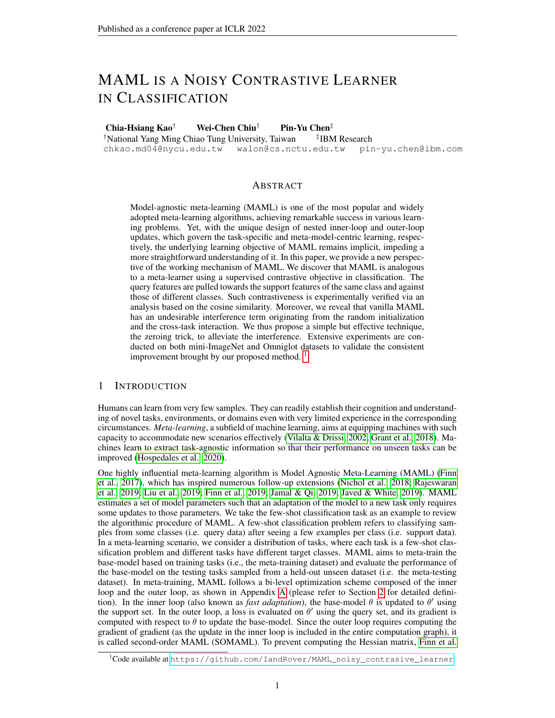Figure 2:The supervised contrastiveness entailed in MAML manifests when zero initialization or the zeroing trick is applied. The value in the heatmap is calculated by averaging the pairwise cosine similarities between query features or between query features and support features. We consider the setting of having randomly initialized linear layer (top), zero-initialized linear layer (middle), and the zeroing trick (bottom), and experiment with various numbers of outer loop updates. The readers are encouraged to compare the results between different rows.

### 3.3 ZEROING LINEAR LAYER AT TESTING TIME INCREASESTESTING ACCURACY

Before starting our analysis on benchmark datasets, we note that the cross-task interference can also occur during meta-testing. In the meta-testing stage, the base-model is updated in the inner loop using support data and then the performance is evaluated using query CatanereS andQ are drawn from a held-out, unseen meta-testing dataset. Recall that at the end of the outer loop (in meta-training stage), the query features are added weightedly to the linear/aylerother words, at the beginning of meta-testing,<sup>0</sup> is already added with the query features of previous training tasks, which can drastically in uence the performance on the unseen tasks.

To validate this idea, we apply the zeroing trick at meta-testing time (which we refer to zeroting at the beginning of the meta-testing time) and show such trick increases the testing accuracy of the model trained with FOMAML. As illustrated in Figure 3, compared to directly entering meta-testing (i.e. the subplot at the left), additionally zeroing the linear layer at the beginning of each meta-testing time (i.e. the subplot at the right) increases the testing accuracy of the model whose linear layer is randomly initialized or zero-initialized (denoted by the red and orange curves, respectively). And the difference in testing performance sustains across the whole training session.

In the following experiments, we evaluate the testing performance only with zeroing the linear layer at the beginning of the meta-testing stage. By zeroing the linear layer, the potential interference brought by the prior (of the linear layer) is ignored. Then, we can fully focus on the capacity of the encoder in learning a good feature representation.

Figure 3: Using the zeroing trick at meta-testing stage improves performance.The left/right subplot shows the performance of models without/with zeroed at the beginning of meta-testing time. The curves in redw<sup>0</sup> is randomly initialized. The curves in yellow  $\delta$  is zeroed at initialization. The curves in green: the models trained with training trick applied in the training stage.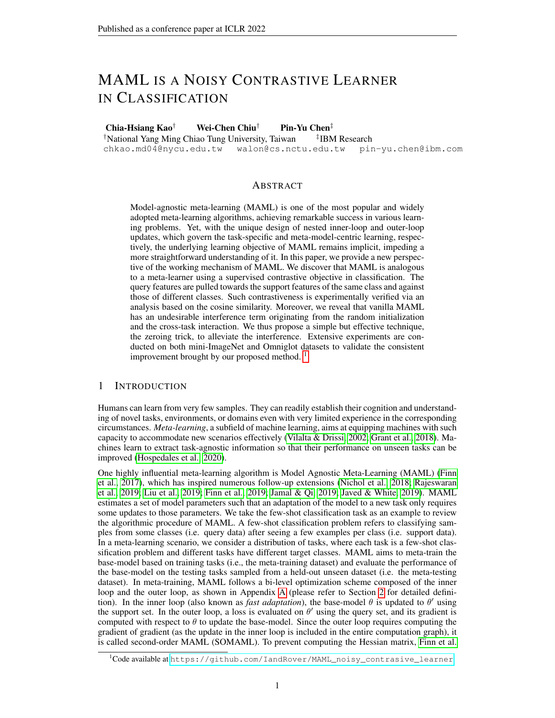# 3.4 SINGLE INNER LOOPUPDATE SUFFICES WHENUSING THE ZEROING TRICK

In Eq. (4) and Eq. (21), we show that the features of the support data are added to the linear layer in the inner loop. Larger number of inner loop update steps can better offset the effect of interference brought by a non-zeroed linear layer. In other words, when the models are trained with the zeroing trick, a larger number of inner loop updates can not bring any bene t. We validate this intuition in Figure 4 under a 5-way 1-shot setting. In the original FOMAML, the models trained with a single inner loop update step (denoted as red curve) converge slower than those trained with update step of 7 (denoted as purple curve). On the contrary, when the models are trained with the zeroing trick, models with various inner loop update steps converge at the same speed.

Figure 4: With the zeroing trick, a larger number of inner loop update steps is not necessary in original MAML, a larger number of inner loop update steps is preferred as it generally yields better testing accuracy even with zeroing trick applied in the meta-testing stage (refer to the left gure). However, models trained using the zeroing trick do not show this trend (refer to the right gure).

# 3.5 EFFECT OFINITIALIZATION AND THE ZEROING TRICK

In Eq. (7), we observe an interference derived from the historical task features or random initialization. We validate our formula by examining the effects of (1) reducing the norm<sup>p</sup>oat initialization and (2) applying the zeroing trick. From Figure 5, the performance is higher when the initial norm ofw<sup>o</sup> is lower. Compared to random initialization, reducing the norm via down-scall hay 0:7 yields visible differences. Besides, the testing accuracy of MAML with zeroing trick (the purple curve) outperforms that of original MAML.

Figure 5:Effect of initialization and the zeroing trick on testing performance. Both reducing the norm ofw<sup>0</sup> and zeroingv<sup>0</sup> each outer loop (i.e., the zeroing trick) increase the testing accuracy. The curves in red: models with  $0$  randomly initialized. The curves in orange/green: reducing the value ofw<sup>0</sup> at initialization by a factor of :7/ 0:5. The curve in bluew<sup>0</sup> is zero-initialized. The curve in blue: models trained with the zeroing trick.

# 4 CONCLUSION

This paper presents an extensive study to demystify how the seminal MAML algorithm guides the encoder to learn a general-purpose feature representation and how support and query data interact. Our analysis shows that MAML is implicitly a supervised contrastive learner using the support features as positive and negative samples to direct the update of the encoder. Moreover, we unveil an interference term hidden in MAML originated from the random initialization or cross-task interaction, which can impede the representation learning. Driven by our analysis, removing the interference term by a simple zeroing trick renders the model unbiased to seen or unseen tasks. Furthermore, we show constant improvements in the training and testing pro les with this zeroing trick, with experiments conducted on the mini-ImageNet and Omniglot datasets.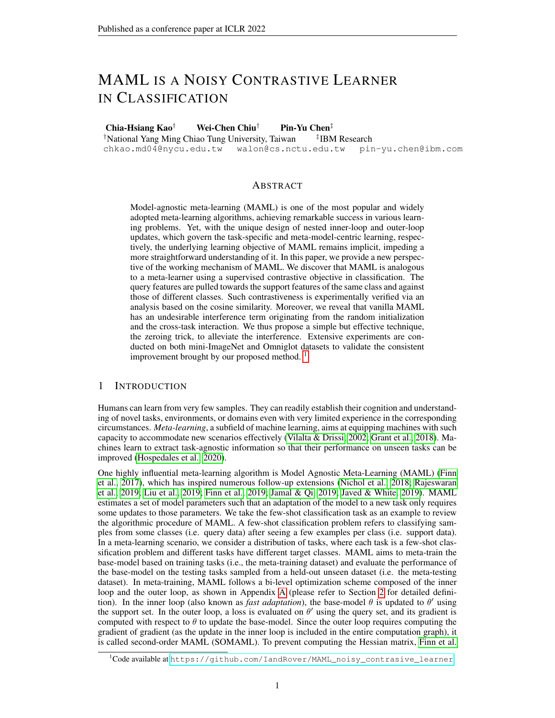# **REFERENCES**

- Antreas Antoniou, Harrison Edwards, and Amos Storkey. How to train your marhite mational Conference on Learning Representations (ICLAR) 9.
- Luca Bertinetto, Joao F Henriques, Philip HS Torr, and Andrea Vedaldi. Meta-learning with differentiable closed-form solvers. International Conference on Learning Representations (ICLR) 2019.
- Kurtland Chua, Qi Lei, and Jason D Lee. How ne-tuning allows for effective meta-learainXgv preprint arXiv:2105.0222,12021.
- Tristan Deleu. Model-agnostic meta-learning.https://github.com/tristandeleu/ pytorch-maml , 2020.
- Simon S Du, Wei Hu, Sham M Kakade, Jason D Lee, and Qi Lei. Few-shot learning via learning the representation, provably. International Conference on Learning Representations (ICLR) 2021.
- Chelsea Finn, Pieter Abbeel, and Sergey Levine. Model-agnostic meta-learning for fast adaptation of deep networks. International Conference on Learning Representations (ICLR) 7.
- Chelsea Finn, Aravind Rajeswaran, Sham Kakade, and Sergey Levine. Online meta-learning. In International Conference on Machine Learning (ICMPD19.
- Micah Goldblum, Steven Reich, Liam Fowl, Renkun Ni, Valeriia Cherepanova, and Tom Goldstein. Unraveling meta-learning: Understanding feature representations for few-shot taskterhational Conference on Machine Learning (ICML2020.
- Erin Grant, Chelsea Finn, Sergey Levine, Trevor Darrell, and Thomas Grif ths. Recasting gradientbased meta-learning as hierarchical bayes international Conference on Learning Representations (ICLR)  $2018$ .
- Timothy Hospedales, Antreas Antoniou, Paul Micaelli, and Amos Storkey. Meta-learning in neural networks: A surveyarXiv preprint arXiv:2004.0543, 92020.
- Muhammad Abdullah Jamal and Guo-Jun Qi. Task agnostic meta-learning for few-shot learning. In IEEE Conference on Computer Vision and Pattern Recognition (C,VPPR).
- Khurram Javed and Martha White. Meta-learning representations for continual learning d- In vances in Neural Information Processing Systems (Neur<sup>IPGS)</sup> 9.
- Prannay Khosla, Piotr Teterwak, Chen Wang, Aaron Sarna, Yonglong Tian, Phillip Isola, Aaron Maschinot, Ce Liu, and Dilip Krishnan. Supervised contrastive learning dlvances in Neural Information Processing Systems (Neurl<sub>P</sub>26) 20.
- Brenden M Lake, Ruslan Salakhutdinov, and Joshua B Tenenbaum. Human-level concept learning through probabilistic program induction.  $\frac{1}{2}$  cience 2015.
- Kwonjoon Lee, Subhransu Maji, Avinash Ravichandran, and Stefano Soatto. Meta-learning with differentiable convex optimization. INEEE Conference on Computer Vision and Pattern Recognition (CVPR)  $2019$ .
- Chen Liu, Chengming Xu, Yikai Wang, Li Zhang, and Yanwei Fu. An embarrassingly simple baseline to one-shot learning. IFEEE Conference on Computer Vision and Pattern Recognition (CVPR) 2020.
- Hao Liu, Richard Socher, and Caiming Xiong. Taming maml: Ef cient unbiased metareinforcement learning. Imternational Conference on Machine Learning (ICMPD19.
- Liangqu Long. Maml-pytorch implementation. https://github.com/dragen1860/ MAML-Pytorch , 2018.
- Alex Nichol, Joshua Achiam, and John Schulman. On rst-order meta-learning algorithmixis. preprint arXiv:1803.0299,92018.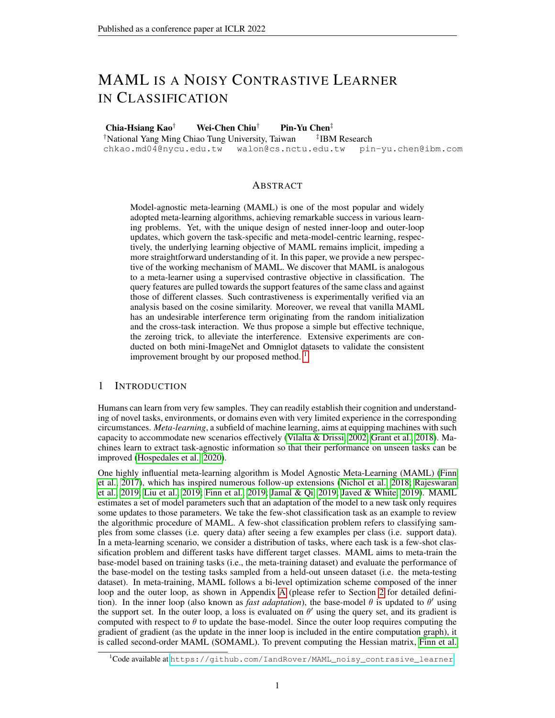- Aniruddh Raghu, Maithra Raghu, Samy Bengio, and Oriol Vinyals. Rapid learning or feature reuse? towards understanding the effectiveness of mamInternational Conference on Learning Representations (ICLR)2020.
- Janarthanan Rajendran, Alex Irpan, and Eric Jang. Meta-learning requires meta-augmentation. In Advances in Neural Information Processing Systems (Neurl POSI).
- Aravind Rajeswaran, Chelsea Finn, Sham Kakade, and Sergey Levine. Meta-learning with implicit gradients. InAdvances in Neural Information Processing Systems (Neurl POS).
- Sachin Ravi and Hugo Larochelle. Optimization as a model for few-shot learning telimational Conference on Learning Representations (ICLAR) 7.
- Jonas Rothfuss, Dennis Lee, Ignasi Clavera, Tamim Asfour, and Pieter Abbeel. Promp: Proximal meta-policy search. Imternational Conference on Learning Representations (IC2R) 9.
- Florian Schroff, Dmitry Kalenichenko, and James Philbin. Facenet: A uni ed embedding for face recognition and clustering. IFEEE Conference on Computer Vision and Pattern Recognition (CVPR) 2015.
- Jake Snell, Kevin Swersky, and Richard S Zemel. Prototypical networks for few-shot learning. Advances in Neural Information Processing Systems (Neurl POS).
- Kihyuk Sohn. Improved deep metric learning with multi-class n-pair loss objectived wances in Neural Information Processing Systems (Neur) P26)16.
- Xingyou Song, Wenbo Gao, Yuxiang Yang, Krzysztof Choromanski, Aldo Pacchiano, and Yunhao Tang. Es-maml: Simple hessian-free meta learning International Conference on Learning Representations (ICLR2020.
- Flood Sung, Yongxin Yang, Li Zhang, Tao Xiang, Philip HS Torr, and Timothy M Hospedales. Learning to compare: Relation network for few-shot learning. Elia E Conference on Computer Vision and Pattern Recognition (CVP, P2018.
- Nilesh Tripuraneni, Chi Jin, and Michael I Jordan. Provable meta-learning of linear representations. arXiv preprint arXiv: 2002.1168, 42020.
- Ricardo Vilalta and Youssef Drissi. A perspective view and survey of meta-learn Antg.cial Intelligence Review2002.
- Oriol Vinyals, Charles Blundell, Timothy Lillicrap, Koray Kavukcuoglu, and Daan Wierstra. Matching networks for one shot learning. Indivances in Neural Information Processing Systems (NeurlPS) 2016.
- Mingzhang Yin, George Tucker, Mingyuan Zhou, Sergey Levine, and Chelsea Finn. Meta-learning without memorization. Ininternational Conference on Learning Representations (ICDR20.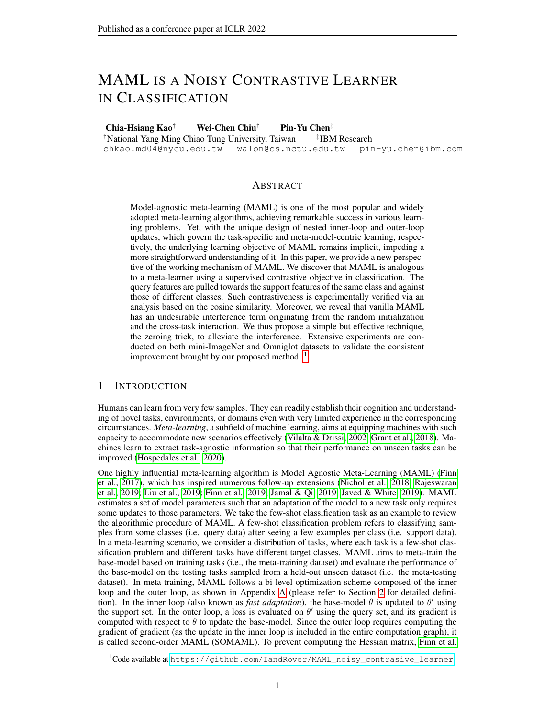# APPENDIX

# A ORIGINAL MAML AND MAML WITH THE ZEROING TRICK

Algorithm 1 Second-order MAML

Require: Task distributionD Require: ; : inner loop and outer loop learning rates Require: Randomly initialized base-model parameters 1: while not donedo 2: Sample task $f_1$ ; ::  $T_{N_{batch}}$  g from D<br>3: for n = 1; 2; ::: : N<sub>hatch</sub> do 3: for  $n = 1; 2; \dots; N_{batch}$  do<br>4:  $f S_n : Q_n q$  sample from 4:  $f S_n$ ; Q<sub>n</sub> g sample from  $T_n$ <br>5:  $n =$ 5:  $n =$ <br>6: for i 6: for  $i = 1; 2; \dots; N_{step}$  do<br>7: 7: n n r<sub>n</sub> L<sub>n</sub>; s<sub>n</sub> 8: end for 9: end for 10: Update  $P \underset{n=1}{N_{\text{batch}}} r L_{n;Q_n}$ 11: end while

# Algorithm 2 First-order MAML

```
Require: Task distributionD
    Require: ;  : inner loop and outer loop learning rates
    Require: Randomly initialized base-model parameters
 1: while not donedo
 2: Sample taskf_1; :: T_{N_{\text{batch}}} g from D<br>3: for n = 1:2: ::: : Nhatch do
 3: for n = 1; 2; \dots; N_{batch} do<br>4: f S_n : Q_n q sample from
            f S_n; Q<sub>n</sub> g sample from T_n5: n =<br>6: for i
 6: for i = 1; 2; ...; N_{step} do<br>7:
 7: n n r<sub>n</sub> L<sub>n</sub>; s<sub>n</sub>
 8: end for
 9: end for
10: Update
                               P N batch r L _{n} ;Q _{n}11: end while
```
# Algorithm 3 Second-order MAML with the zeroing trick

```
Require: Task distributionD
     Require: ;  : inner loop and outer loop learning rates
     Require: Randomly initialized base-model parameters
 1: Setw 0 (the zeroing trick)
 2: while not donedo
 3: Sample taskf_1; :: T_{N_{batch}} g from D<br>4: for n = 1; 2; ::: ; N<sub>hatch</sub> do
 4: for n = 1; 2; \dots; N_{batch} do<br>5: f S_n; Q_n g sample from
             f S_n; Q<sub>n</sub> g sample from T_n6: n =<br>7: for i
 7: for i = 1; 2; \dots; N_{step} do<br>8:
 8: n n r<sub>n</sub> L<sub>n;Sn</sub>
 9: end for
10: end for
11: Update<br>12: Setw
                                P _{n=1}^{N_{\text{batch}}} r L<sub>n</sub>;_{Q_n}11. \frac{1}{2} Update<br>12: Setw 0 (the zeroing trick)
13: end while
```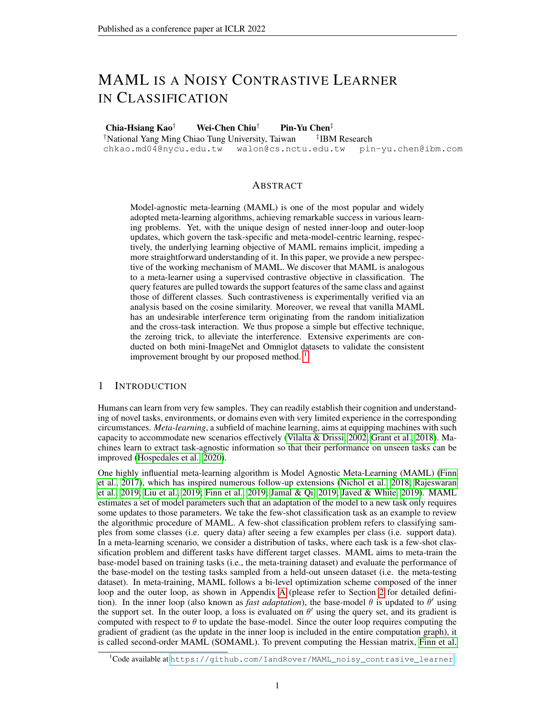# **B** SUPPLEMENTARY DERIVATION

In this section, we provide the full generalization and further discussion that supplement the main paper. We consider the case  $\text{N}_{\text{batch}} = 1$  and  $\text{N}_{\text{step}} = 1$  under the EFIL assumption. We provide the outer loop update of the linear layer under SOMAML in Section B.1. Next, we offer the full derivation of the outer loop update of the encoder in Section B.2. Then, we reformulate the outer loop loss for the encoder in both FOMAML and SOMAML in Section B.3 and Section B.4. Afterward, we discuss the main difference in FOMAML and SOMAML in detail in Section B.5. Finally, we show the performance of the models trained using the reformulated loss in Section B.6.

#### B.1 THE DERIVATION OF OUTER LOOPUPDATE FOR THELINEAR LAYER USING SOMAML

Here, we provide the complete derivation of the outer loop update for the linear layer. Using SO-MAML with support setS and query seQ, the update of the linear layer follows

$$
w_{k}^{\omega} = w_{k}^{\omega} \frac{\omega_{k} \cdot w \cdot q_{jQ}}{\omega_{k}^{\omega}} = w_{k}^{\omega} \frac{\omega_{m}^{1}}{\omega_{m}} \frac{\omega_{k} \cdot w \cdot q_{jQ}}{\omega_{m}^{\omega}} \frac{\omega_{m}}{\omega_{m}}
$$
  
\n
$$
= w_{k}^{\omega} \frac{\omega_{k}!}{\omega_{k}^{\omega}} \frac{\omega_{k}!}{\omega_{k}^{\omega}} \frac{\omega_{k}!}{\omega_{k}^{\omega}} \frac{\omega_{m}!}{\omega_{m}} \frac{\omega_{k}!}{\omega_{m}} \frac{\omega_{m}!}{\omega_{m}} \frac{\omega_{k}!}{\omega_{m}} \frac{\omega_{m}}{\omega_{m}}
$$
  
\n
$$
= w_{k}^{\omega} + [1 \quad E \quad S(\textbf{s}, \textbf{s}) \quad (S) \quad (S)^{T}] \cdot E \quad (1_{k=u} \quad q_{k}) \quad (Q)
$$
  
\n
$$
+ \quad \int_{m \in k} (S_{k} \quad S(\textbf{s}) \quad (S)^{T}] \cdot E \quad (1_{m=u} \quad q_{m}) \quad (Q)
$$
  
\n
$$
= w_{k}^{\omega} + [1 \quad E \quad S(\textbf{s}, \textbf{s}) \quad (S) \quad (S)^{T}] \cdot E \quad (1_{k=u} \quad q_{k}) \quad (Q)
$$
  
\n
$$
+ \quad \int_{m \in k} (S_{k} \quad S(\textbf{s}) \quad (S)^{T}] \cdot E \quad (1_{k=u} \quad q_{k}) \quad (Q)
$$
  
\n
$$
+ \quad \int_{m=1}^{N_{\text{day}}} E \quad (S_{m} \quad S(\textbf{s}) \quad (S)^{T}] \cdot E \quad (1_{m=u} \quad q_{m}) \quad (Q)
$$
  
\n
$$
+ \quad \int_{m=1}^{N_{\text{day}}} E \quad (S_{m} \quad S(\textbf{s}) \quad (S)^{T}] \cdot E \quad (1_{m=u} \quad q_{m}) \quad (Q)
$$

We can further simplify Eq. (11) to Eq. (12) with the help of the zeroing trick.

$$
w_{k}^{\omega} = [I \qquad \underset{(s,t)}{E} s_{k} \ (s) \ (s)^{T} \underset{(q,u)}{E} \underset{Q}{E} (1_{k=u} \qquad q_{k}) \ (q) \tag{12}
$$

This is because the zeroing trick essentially turns the logits of all support samples to zero, and consequently the predicted probability (softmax) outputœcomes  $\frac{1}{\mathsf{N}_{\mathsf{way}}}$  for all channelm. Therefore, the third term in Eq. (11) turns out to be zero (c.f. Eq. (13)). The equality of Eq. (13) holds since the summation of the (softmax) outputs is one.

$$
\frac{N_{\text{Way}}}{N_{\text{way}}^2} \left[ E_{(s;t)} \left( s \right) \left( s \right)^T \right] \left[ E_{(q;u)} \left( 1_{m=u} \right) \left( q \right) \right]
$$
\n
$$
= \frac{N_{\text{Way}}}{N_{\text{way}}^2} \left[ E_{(s;t)} \left( s \right) \left( s \right)^T \right] \left[ E_{(q;u)} \left( q \right) \left( 1_{m=u} \right) \left( 1_{m=u} \right) \right] \tag{13}
$$
\n
$$
= \frac{N_{\text{Way}}}{N_{\text{way}}^2} \left[ E_{(s;t)} \left( s \right) \left( s \right)^T \right] \left[ E_{(q;u)} \left( q \right) \right] \left( 1_{m=u} \right] \tag{13}
$$

# B.2 THE FULL DERIVATION OF THE OUTER LOOPUPDATE OF THEENCODER.

As the encoder is parameterized by, the outer loop gradient with respect to is given by  $\frac{\omega_1 + \omega_2}{\omega_1} = E_{(q;u)}$  a  $\frac{\omega_1 + \omega_2}{\omega_1}$  $@(q)$  $\frac{\textcircled{a}}{\textcircled{a}}$ ' + E<sub>(s;t)</sub> s  $\frac{\textcircled{a}_{\frac{1}{3}:\text{w}^1\text{g}}\textcircled{a}}{\textcircled{a}}$ (s) @(s)  $\frac{\mathcal{Q} \; (\mathsf{s})}{\mathcal{Q}'}$ . We take a deeper look at the backpropagated errof  $\frac{\mathbb{Q}L_1\cdot v}{\mathbb{Q}(q)}$  of the feature of one query da(ta); <code>u)  $\quad$  Q,</code> based on the following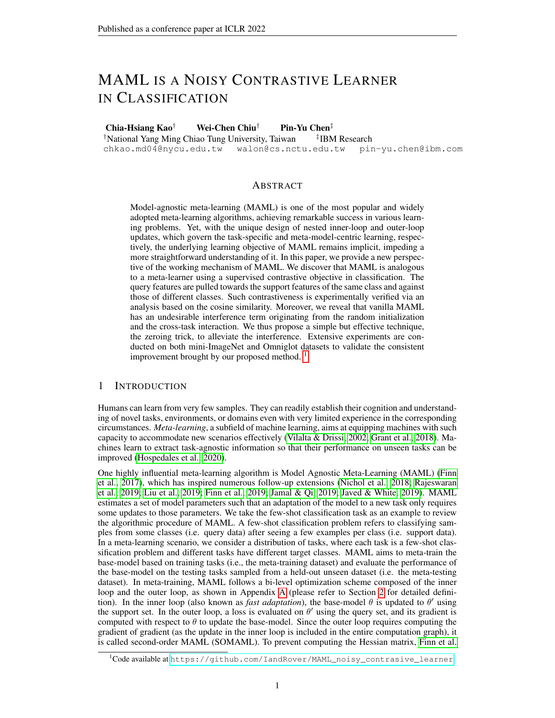form:

$$
\frac{\textcircled{1}_{4\cdot;\ w^{1}g;Q}}{\textcircled{2}(q)} = w_{u}^{1} \qquad \bigvee_{j=1}^{N_{\text{Max}}} (q_{j}w_{j}^{1}) = \bigvee_{j=1}^{N_{\text{Max}}} (1_{j=u}^{1} - q_{j})w_{j}^{1}
$$
\n
$$
= \bigvee_{j=1}^{N_{\text{Max}}} (1_{j=u}^{1} - q_{j})w_{j}^{0} + \bigwedge_{j=1}^{N_{\text{Max}}} [1_{j=u}^{1} - q_{j}] \bigcup_{(s,t) \text{ s}} [1_{(s,t) \text{ s}}^{1} (1_{j=t}^{1} - s_{j}) (s)] \qquad (14)
$$
\n
$$
= \bigvee_{j=1}^{N_{\text{Max}}} (1_{j=u}^{1} - q_{j})w_{j}^{0} + \bigvee_{(s,t) \text{ s}} [1_{(s,t) \text{ s}}^{1} (1_{j}^{1} - s_{j}) (s)] \qquad (15)
$$

### B.3 REFORMULATION OF THEOUTER LOOPLOSS FOR THEENCODER ASNOISY SCL LOSS.

We can derive the actual loss (evaluated on a single query  $\eta$  at  $\eta$ ) that the encoder uses under FOMAML scheme as follows:

$$
L_{f'; w^1g;q} = \sum_{j=1}^{N_{\text{New}}} \frac{(q^{j} - 1_{j=u})w_j^{0s}}{1_{\text{stop gradient}}} (q) \qquad \underset{(s;t)}{E} \frac{1_{\text{New}}}{{\rm{K}}} \frac{1_{\text{New}}}{{\rm{K}}} (q^j s) \qquad S_u \qquad q^j t + 1_{t=u} (s)^s \qquad (q) \qquad (15)
$$

For SOMAML, we need to additionally plug Eq. (4) into Eq. (3).

$$
L_{f^{\prime};\ w^1g;q} = \sum_{j=1}^{N_{\mathcal{H}^{ay}}} \underbrace{(q \quad 1_{j=u}) w_j^{0>}}_{stop\ gradient} (q) \qquad \underset{(s;t)}{E} \underbrace{[(\quad q_j s) \quad s_u \quad q_t + 1_{t=u} ]\ (s)^>}\ (q) \qquad (16)
$$

#### B.4 INTRODUCTION OF THE ZEROING TRICK MAKESEQ. (7) AND EQ. (8) SCLLOSSES.

Apply the zeroing trick to Eq. (7) and Eq. (8), we can derive the actual loss Eq. (17) and Eq. (18) that the encoder follows.

$$
L_{f': w^{1}g;q} = E_{(s;t)} g \frac{(q_{t} 1_{t=u}) (s)^{2}}{\text{stop gradient}}
$$
 (q) (17)

$$
L_{f': w^{1}g; q} = E_{(s;t)} g \frac{(q_{t} 1_{t=u})}{s \log gradient} (s)^{>}(q)
$$
 (18)

With these two equations, we can observe the essential difference in FOMAML and SOMAML is the range of stopping gradients. We would further discuss the implication of different ranges of gradient stopping in Appendix B.5.

### B.5 DISCUSSION ABOUT THE DIFFERENCE BETWEENFOMAML AND SOMAML

Central to the mystery of MAML is the difference between FOMAML and SOMAML. Plenty of work is dedicated to approximating or estimating the second-order derivatives in the MAML algorithm in a more computational-ef cient or accurate manner (Song et al., 2020; Rothfuss et al., 2019; Liu et al., 2019). With the EFIL assumption and our analysis through connecting SCL to these algorithms, we found that we can better understand the distinction between FOMAML and SOMAML from a novel perspective. To better understand the difference, we can compare Eq. (7) with Eq. (8) or compare Eq. (9) with Eq. (10). To avoid being distracted by the interference terms, we provide the analysis of the latter.

The main difference between Eq. (9) and Eq. (10) is the range of gradient stopping and we will show that this difference results in a signi cant distinction in the feature space. To begin with, by chain rule, we have $\frac{\textcircled{\tiny \textcircled{\tiny 1}}}{\textcircled{\tiny \textcircled{\tiny 2}}}= \, \mathsf{E}_{\,(\mathsf{q};\mathsf{u})} \, \, \lrcorner \, \, \frac{\textcircled{\tiny \textcircled{\tiny 1}}}{\textcircled{\tiny \textcircled{\tiny 2}}}$  $\frac{\mathcal{Q}(q)}{\mathcal{Q}'}$  +  $E$ <sub>(s;t)</sub> s  $\frac{\mathcal{Q}(L)}{\mathcal{Q}(s)}$  $\frac{\mathcal{Q}^{-}(\mathsf{s})}{\mathcal{Q}^{+}}$ . As we speci cally want to know how the encoded features are updated given different losses, we can look at the <del>tama</del>nd  $\frac{\circledR\,L}{\circledR\,(\,{\rm s})}$  by differentiating Eq. (9) and Eq. (10) with respect to the features of queryqdartd support datas, respectively.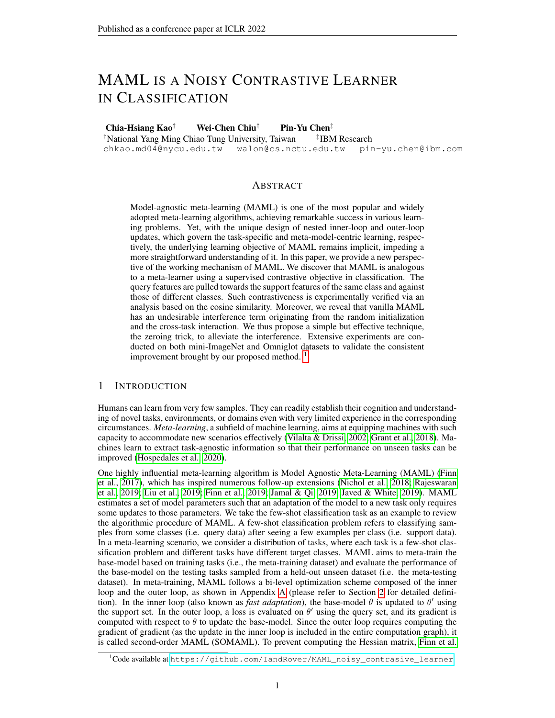FOMAML:

$$
\frac{\mathcal{Q}L}{\mathcal{Q}(q)} = \underset{(s,t)}{\mathcal{E}} S(q_t \quad 1_{t=u}) \quad (s)
$$
\n
$$
\frac{\mathcal{Q}L}{\mathcal{Q}(s)} = 0 \tag{19}
$$

SOMAML:

$$
\frac{\textcircled{1}}{\textcircled{2}}\begin{array}{l}\textcircled{1} \\ \textcircled{2}} \\ \textcircled{3} \\ \textcircled{4}\end{array} = \begin{array}{l}\textcircled{1} \\ \textcircled{1} \\ \textcircled{1} \\ \textcircled{2} \\ \textcircled{3}\end{array} = \begin{array}{l}\textcircled{1} \\ \textcircled{1} \\ \textcircled{2} \\ \textcircled{3}\end{array} \begin{array}{l}\textcircled{1} \\ \textcircled{3}\end{array} \begin{array}{l}\textcircled{1} \\ \textcircled{4}\end{array} \begin{array}{l}\textcircled{1} \\ \textcircled{1} \\ \textcircled{4}\end{array} \begin{array}{l}\textcircled{1} \\ \textcircled{1} \\ \textcircled{4}\end{array} \begin{array}{l}\textcircled{1} \\ \textcircled{1} \\ \textcircled{2}\end{array} \end{array} \begin{array}{l}\textcircled{2} \\ \textcircled{3}\end{array} \begin{array}{l}\textcircled{3} \\ \textcircled{4}\end{array} \begin{array}{l}\textcircled{4} \\ \textcircled{5}\end{array} \begin{array}{l}\textcircled{5} \\ \textcircled{6}\end{array} \begin{array}{l}\textcircled{6} \\ \textcircled{7}\end{array} \begin{array}{l}\textcircled{6} \\ \textcircled{7}\end{array} \begin{array}{l}\textcircled{6} \\ \textcircled{7}\end{array} \end{array} \begin{array}{l}\textcircled{6} \\ \textcircled{7}\end{array} \begin{array}{l}\textcircled{6} \\ \textcircled{7}\end{array} \begin{array}{l}\textcircled{6} \\ \textcircled{7}\end{array} \begin{array}{l}\textcircled{6} \\ \textcircled{7}\end{array} \begin{array}{l}\textcircled{6} \\ \textcircled{7}\end{array} \begin{array}{l}\textcircled{6} \\ \textcircled{7}\end{array} \begin{array}{l}\textcircled{6} \\ \textcircled{7}\end{array} \begin{array}{l}\textcircled{6} \\ \textcircled{7}\end{array} \begin{array}{l}\textcircled{6} \\ \textcircled{7}\end{array} \begin{array}{l}\textcircled{6} \\ \textcircled{7}\end{array} \begin{array}{l}\textcircled{6} \\ \textcircled{7}\end{array} \begin
$$

Obviously, as the second equation in Eq (19) is zero, we know that in FOMAML, the update of the encoder does consider the change of the support features. The encoder is updated to move the query features closer to support features of the same class and further to support features of different classes in FOMAML. On the contrary, we can tell from the above equations that in SOMAML, the encoder is updated to make support features and query features closer if both come from the same class and make support features and query features further if they come from different classes.

We illustrate the difference in Figure 6. For simplicity, we do not consider the scale of the coef- cients but their signs. The subplot on the left indicates that this FOMAML loss guides the encoder to be updated so that the feature of the query data moves 1) towards the support feature of the same class, and 2) against the support features of the different classes. On the other hand, the SOMAML loss guides the encoder to be updated so that 1) when the support data and query data belong to the same class, their features move closer, and otherwise, their features move further. This generally explains why models trained using SOMAML generally converge faster than those trained using FOMAML.

Figure 6: Illustration of the distinction of FOMAML and SOMAML . Conceptually speaking, the objective function of FOMAML aims to change the features of the query data; in contrast, that of SOMAML seeks to change the query's features and support data simultaneously. In this -gure, the support data and query data features are plotted as solid and hollow circles, respectively. The different colors represent different classes. The solid and hollow arrows indicate the gradient calculated from positive and negative samples, respectively. Note that this is in the feature space, not the weight space.

#### B.6 EXPLICITLY COMPUTING THE REFORMULATING LOSSUSING EQ. (7) AND EQ. (8)

Under the EFIL assumption, we show that MAML can be reformulated as a loss taking noisy SCL form. Below, we consider a setting of 5-way 1-shot mini-ImageNet few-shot classi cation task, under the condition of no inner loop update of the encoder. (This is the assumption that our derivation heavily depends on. It means that we now only update the encoder in the outer loop.) We empirically show that explicitly computing the reformulated losses of Eq. (7), Eq. (17) and Eq. (18) yield almost the same curves as MAML (with the EFIL assumption). Please note that the reformulated losses are used to update the encoders, for the linear lay erwe explicitly update it using Eq. (5). Note that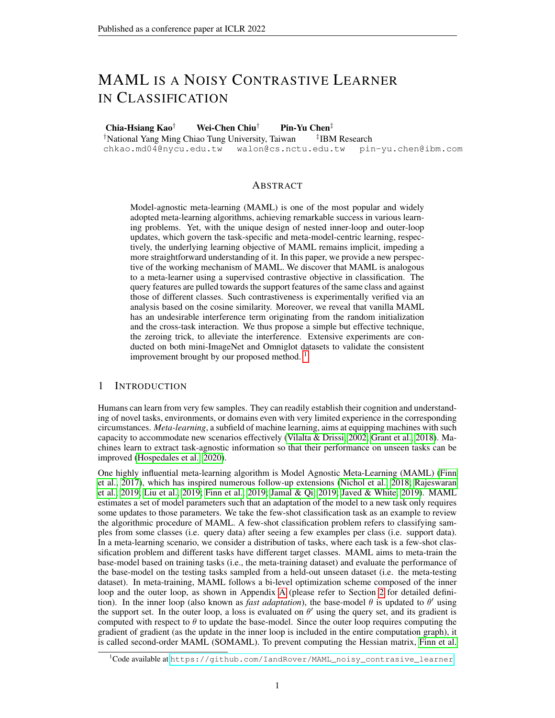although the performance models training using FOMAML, FOMAML with the zeroing trick, and SOMAML converge to similar testing accuracy, the overall testing performance during the training process is distinct. The results are averaged over three random seeds.

Figure 7: Updating the encoder using the reformulated outer loop loss We experimentally validate that the testing accuracy of models trained using MAML (with no inner loop update of encoder) consists with that of models using their corresponding supervised contrastive losses, i.e., Eq. (7), Eq. (17) and Eq. (18).

## B.7 THE EFFECT OFINTERFERENCETERM AND NOISY CONTRASTIVE TERM

Reformulating the loss of MAML into a noisy SCL form enables us to further investigate the effects brought by the interference term and the noisy contrastive term, which we presume both effects to be negative.

To investigate the effect of the interference term, we simply consider the loss adopted by rstorder MAML as in Eq. (7) but with the interference term dropped (denoted as "). As for the noisy contrastive term, the noise comes from the fact that "when the query and support data are in different classes, the sign of the contrastive coef cient can sometimes be negative", as being disgussed in Section 2.4. To mitigate this noise, we consider the loss in Eq. (7) with the term

 $\int_{\substack{N\leq x\\j=1}}^{N\leq x} q_j s_j + s_u$  dropped from the contrastive coef cient, and denote it  $\mathbf{a}_s$  ". On the other hand, we also implement a loss with ", n<sub>2</sub> ", which is actually Eq. (9). We adopt the same experimental setting as Section B.6.

In Figure 8, we show the testing pro les of the original reformulated loss (i.e., the curve in red, labeled as  $\mathfrak{h}_1$  X,  $\mathfrak{h}_2$  X"), dropping the interference term (i.e., the curve in orange, labeled as "

,  $n_2$  X"), dropping the noisy part of the contrastive term (i.e., the curve in green, labeled as "  $X, n_2$  ") or dropping both (i.e., the curve in blue, labeled as ", n<sub>2</sub> "). We can see that either dropping the interference term or dropping dropping the noisy part of contrastive coef cients yield profound bene t.

Figure 8: The effect of the interference term and the noisy contrastive term.We perform an ablation study of the reformulated loss in Eq. (7) by dropping the interference term (denoted as " $n_1$ ") or dropping the noisy part in the noisy contrastive term (marked as).

To better understand how noisy is the noisy contrastive term, i.e., how many times the sign of the contrastive coef cient is negative when the query and support data are in different classes, we explicitly record the ratio of the contrastive term being positive or negative. We adopt the same experimental setting as Section B.6.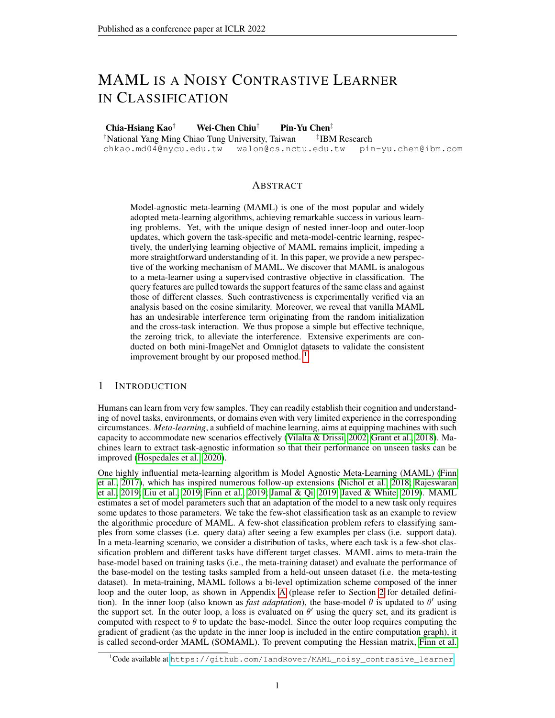The result is shown in Figure 9. When the zeroing trick is applied, the ratio of contrastive term being negative (shown as the red curve on the right subplot) 2 swhich is  $\frac{1}{N_{\rm way}}$  where N<sub>way</sub> = 5 in our setting. On the other hand, when the zeroing trick is not applied, the ratio of contrastive term being negative (shown as the orange color on the right subplot) is large0:t2anhis additional experiment necessitates the application of the zeroing trick.

Figure 9:The ratio of the contrastive term being positive or negative during training.With the zeroing trick, the MAML becomes a SCL algorithm, so its ratio of negative contrastive tema is The original MAML, however, is a noisy SCL algorithm, and thus its ratio of negative contrastive term is larger than<sup>0:2</sup>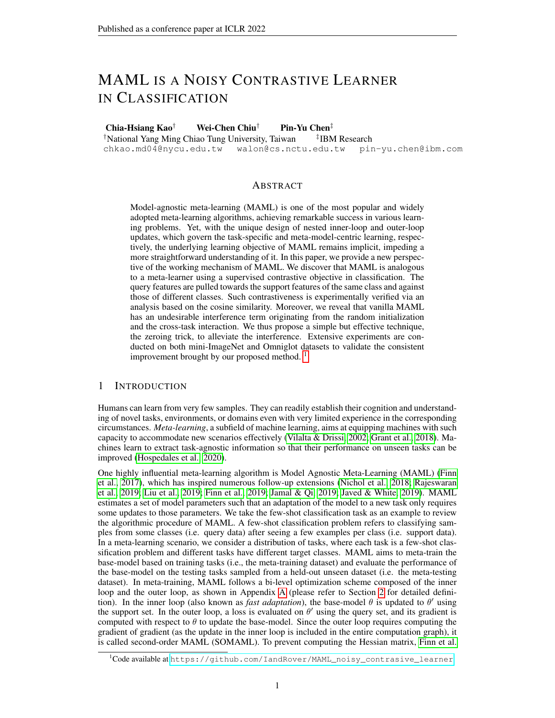# C A GENERALIZATION OF OUR ANALYSIS

In this section, we derive a more general case of the encoder update in the outer loop. We consider drawing N<sub>batch</sub> tasks from the task distribution and having N<sub>step</sub> update steps in the inner loop while keeping the EFIL assumption.

To derive a more general case, we wse<sup>i;n</sup> to denote the <sup>th</sup> column of w<sup>i;n</sup>, wherew<sup>i;n</sup> is updated fromw<sup>0</sup> using support dat $\mathbf{\hat{s}}_{n}$  for i inner-loop steps. For simplicity, thle<sup>th</sup> channel softmax predictive outpu<del>t  $\frac{\exp(-(s)^{\infty}w_k^{\text{ in }})}{\exp(-(s)^{\infty}w_j^{\text{ in }}})}$ </del> of samples (usingw<sup>inth</sup>) is denoted as  $\frac{\exp(-s)}{\exp(-s)^{\infty}w_j^{\text{ in }}}$ 

Inner loop update for the linear layer We yield the inner loop update for the nal linear layer in Eq. (21) and Eq. (22).

$$
w_k^{i;n} = w_k^{i-1;n} \qquad \frac{\textcircled{1}_{k \text{`}, w^{i-1;n} g; S_n}}{\textcircled{2} v_k^{i-1;n}} = w_k^{i-1;n} + \sum_{(s;t) = S_n} (1_{k=t} - s_k^{i-1;n})
$$
 (s) (21)

$$
w_{k}^{N_{step} ; n} = w_{k}^{0} \sum_{i=1}^{N_{step}} \underset{(s,t)}{E} S_{n} (1_{k=t} s_{k}^{i-1; n}) (s)
$$
 (22)

Outer loop update for the linear layer We derive the outer loop update for the linear layer in SOMAML, with denotingI = f 1; 2; :::;  $N_{way}$  g:

$$
w_{k}^{00} = w_{k}^{0} \n\begin{array}{c}\nN \cancel{m}^{t}_{k} = 0 & N \cancel{m}^{t}_{k} \frac{1}{N} \frac{1}{N} \frac{1}{N} \frac{1}{N} \frac{1}{N} \frac{1}{N} \frac{1}{N} \frac{1}{N} \\
\frac{1}{N} \frac{1}{N} \frac{1}{N} \frac{1}{N} \frac{1}{N} \frac{1}{N} \frac{1}{N} \frac{1}{N} \frac{1}{N} \frac{1}{N} \frac{1}{N} \frac{1}{N} \frac{1}{N} \frac{1}{N} \frac{1}{N} \frac{1}{N} \frac{1}{N} \frac{1}{N} \frac{1}{N} \frac{1}{N} \frac{1}{N} \frac{1}{N} \frac{1}{N} \frac{1}{N} \frac{1}{N} \frac{1}{N} \frac{1}{N} \frac{1}{N} \frac{1}{N} \frac{1}{N} \frac{1}{N} \frac{1}{N} \frac{1}{N} \frac{1}{N} \frac{1}{N} \frac{1}{N} \frac{1}{N} \frac{1}{N} \frac{1}{N} \frac{1}{N} \frac{1}{N} \frac{1}{N} \frac{1}{N} \frac{1}{N} \frac{1}{N} \frac{1}{N} \frac{1}{N} \frac{1}{N} \frac{1}{N} \frac{1}{N} \frac{1}{N} \frac{1}{N} \frac{1}{N} \frac{1}{N} \frac{1}{N} \frac{1}{N} \frac{1}{N} \frac{1}{N} \frac{1}{N} \frac{1}{N} \frac{1}{N} \frac{1}{N} \frac{1}{N} \frac{1}{N} \frac{1}{N} \frac{1}{N} \frac{1}{N} \frac{1}{N} \frac{1}{N} \frac{1}{N} \frac{1}{N} \frac{1}{N} \frac{1}{N} \frac{1}{N} \frac{1}{N} \frac{1}{N} \frac{1}{N} \frac{1}{N} \frac{1}{N} \frac{1}{N} \frac{1}{N} \frac{1}{N} \frac{1}{N} \frac{1}{N} \frac{1}{N} \frac{1}{N} \frac{1}{N} \frac{1}{N} \frac{1}{N} \frac{1}{N} \frac{1}{N} \frac{1}{N} \frac{1}{N
$$

When it comes to FOMAML, we have

$$
w_k^{0\,0} = w_k^{0} \sum_{n=1}^{N \cancel{R}^{tich}} \frac{\textcircled{a}_{\frac{1}{T}:\text{ w_k}^N \text{ step } P^n g; Q_n}}{\textcircled{w_k}^N \text{ step } P^n} = w_k^{0\, + \sum_{n=1}^{N \cancel{R}^{tich}} \text{ E}_{(q;u)} \left(1_{k=u}^{\text{w step } P^n} g^{N \text{ step } P^n} \right) \tag{q} \tag{24}
$$

Outer loop update for the encoderWe derive the outer loop update of the encoder under FOMAML as below. We consider the back-propagated error of the feature of one quety data  $Q_n$ . Note that the third equality below holds by leveraging Eq. (21).

$$
\frac{a_{\mu_{1}}\cdot w^{N \text{ step } : n} g_{i}Q_{n}}{a_{\mu_{1}}\cdot a_{\mu_{2}}\cdot a_{\mu_{3}}}
$$
\n
$$
= w_{u}^{N \text{ step } : n} \qquad (q_{i}^{N \text{ step } : n} w_{i}^{N \text{ step } : n})
$$
\n
$$
= \bigg\{ \begin{array}{ll}\n\frac{1}{2} \left( 1_{i=1} \right) \left( 1_{i=1} \right) \left( 1_{i=1} \right) \left( 1_{i=1} \right) \left( 1_{i=1} \right) \left( 1_{i=1} \right) \left( 1_{i=1} \right) \left( 1_{i=1} \right) \left( 1_{i=1} \right) \left( 1_{i=1} \right) \left( 1_{i=1} \right) \left( 1_{i=1} \right) \left( 1_{i=1} \right) \left( 1_{i=1} \right) \left( 1_{i=1} \right) \left( 1_{i=1} \right) \left( 1_{i=1} \right) \left( 1_{i=1} \right) \left( 1_{i=1} \right) \left( 1_{i=1} \right) \left( 1_{i=1} \right) \left( 1_{i=1} \right) \left( 1_{i=1} \right) \left( 1_{i=1} \right) \left( 1_{i=1} \right) \left( 1_{i=1} \right) \left( 1_{i=1} \right) \left( 1_{i=1} \right) \left( 1_{i=1} \right) \left( 1_{i=1} \right) \left( 1_{i=1} \right) \left( 1_{i=1} \right) \left( 1_{i=1} \right) \left( 1_{i=1} \right) \left( 1_{i=1} \right) \left( 1_{i=1} \right) \left( 1_{i=1} \right) \left( 1_{i=1} \right) \left( 1_{i=1} \right) \left( 1_{i=1} \right) \left( 1_{i=1} \right) \left( 1_{i=1} \right) \left( 1_{i=1} \right) \left( 1_{i=1} \right) \left( 1_{i=1} \right) \left( 1_{i=1} \right) \left( 1_{i=1} \right) \left(
$$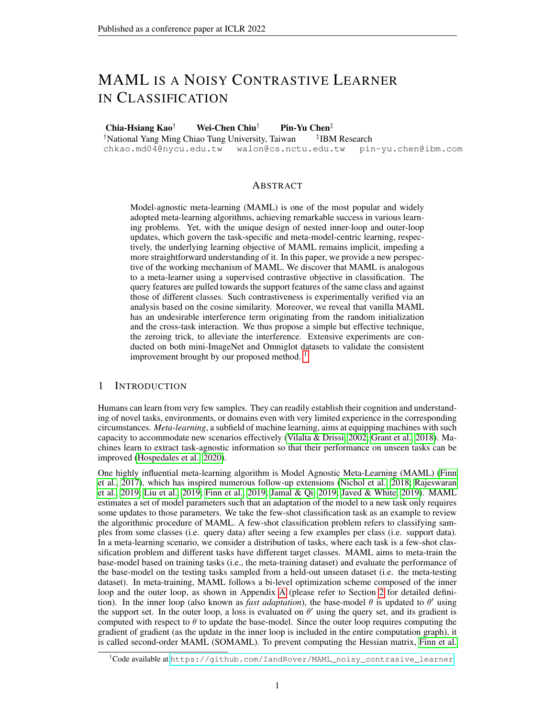Reformulating the Outer Loop Loss for the Encoder as Noisy SCL Loss.From Eq. (25), we can derive the generalized loss (of one query sar( $\phi$ )  $\dot{Q}_n$ ) that the encoder uses under FOMAML scheme.

$$
L_{f', w^{N step}} = \sum_{i=1}^{N_{x}^{N_{x}}}\sum_{\substack{f \text{ is the probability} \\ \text{top gradient} \\ f(\text{st})}}^{N_{x}}\sum_{j=1}^{N_{x}}\sum_{j=1}^{N_{x}}\sum_{j=1}^{N_{x}}\sum_{j=1}^{N_{x}}^{N_{x}}\sum_{j=1}^{N_{x}}\sum_{j=1}^{N_{x}}\sum_{j=1}^{N_{x}}\sum_{j=1}^{N_{x}}\sum_{j=1}^{N_{x}}\sum_{j=1}^{N_{x}}\sum_{j=1}^{N_{x}}\sum_{j=1}^{N_{x}}\sum_{j=1}^{N_{x}}\sum_{j=1}^{N_{x}}\sum_{j=1}^{N_{x}}\sum_{j=1}^{N_{x}}\sum_{j=1}^{N_{x}}\sum_{j=1}^{N_{x}}\sum_{j=1}^{N_{x}}\sum_{j=1}^{N_{x}}\sum_{j=1}^{N_{x}}\sum_{j=1}^{N_{x}}\sum_{j=1}^{N_{x}}\sum_{j=1}^{N_{x}}\sum_{j=1}^{N_{x}}\sum_{j=1}^{N_{x}}\sum_{j=1}^{N_{x}}\sum_{j=1}^{N_{x}}\sum_{j=1}^{N_{x}}\sum_{j=1}^{N_{x}}\sum_{j=1}^{N_{x}}\sum_{j=1}^{N_{x}}\sum_{j=1}^{N_{x}}\sum_{j=1}^{N_{x}}\sum_{j=1}^{N_{x}}\sum_{j=1}^{N_{x}}\sum_{j=1}^{N_{x}}\sum_{j=1}^{N_{x}}\sum_{j=1}^{N_{x}}\sum_{j=1}^{N_{x}}\sum_{j=1}^{N_{x}}\sum_{j=1}^{N_{x}}\sum_{j=1}^{N_{x}}\sum_{j=1}^{N_{x}}\sum_{j=1}^{N_{x}}\sum_{j=1}^{N_{x}}\sum_{j=1}^{N_{x}}\sum_{j=1}^{N_{x}}\sum_{j=1}^{N_{x}}\sum_{j=1}^{N_{x}}\sum_{j=1}^{N_{x}}\sum_{j=1}^{N_{x}}\sum_{j=1}^{N_{x}}\sum_{j=1}^{N_{x}}\sum_{j=1}^{N_{x}}\sum_{j=1}^{N_{x}}\sum_{j=1}^{N_{x}}\sum_{j=1}^{
$$

# D EXPERIMENTS ON MINI-IMAGENET DATASET

## D.1 EXPERIMENTAL DETAILS IN MINI -IMAGENET DATASET

The model architecture contains four basic blocks and one fully connected linear layer, where each block comprises a convolution layer with a kernel siz&of 3 and Iter size of64, batch normalization, ReLU nonlineartity and  $\overline{2}$  max-poling. The models are trained with the softmax cross entropy loss function using the Adam optimizer with an outer loop learning rate of 0.001 (Antoniou et al., 2019). The inner loop step sizeis set to 0.01. The models are trained for 30000 iterations (Raghu et al., 2020). The results are averaged over four random seeds, and we use the shaded region to indicate the standard deviation. Each experiment is run on either a single NVIDIA 1080-Ti or V100 GPU. The detailed implementation is based on Long (2018) (MIT License).

## D.2 THE EXPERIMENTAL RESULT OFSOMAML

The results with SOMAML are shown in Figure 10. Note that as it is possible that longer training can eventually overcome the noise factor and reach similar performance as the zeroing trick, the bene t of the zeroing trick is best seen at the observed faster convergence results when compared to vanilla MAML.

Figure 10: Both FOMAML and SOMAML bene t from the zeroing trick . We examine if reducing or removing the interference can increase the testing performance in models trained with FOMAML and SOMAML. The results suggest that SOMAML also suffers from the interference term. Note that the second subplots from the right shows lower testing performance of models trained with the zeroing trick as compared to the zero-initialized model. This may result from the over tting problem. The curves in red: models trained with original MAML. The curve in orange:  $w<sup>0</sup>$  is zero-initialized. The curve in green: models trained with the zeroing trick.

### D.3 COSINE SIMILARITY ANALYSIS ON SEMANTICALLY SIMILAR CLASSES VERIFIES THE IMPLICIT CONTRASTIVENESS INMAML

In Figure 2, we randomly sample ve classes of images under each random seed. Given the rich diversity of the classes in mini-ImageNet, we can consider that the ve selected classes as semantically dissimilar or independent for each random seed. Here, we also provide the experimental outcomes using a dataset composed of ve semantically similar classes selected from the mini-ImageNet dataset: French bulldog, Saluki, Walker hound, African hunting dog, and Golden retriever. Likewise to the original setting, we train the model using FOMAML and average the results over ten random seeds. As shown in Figure 11, the result is consistent with Figure 2. In conclusion, we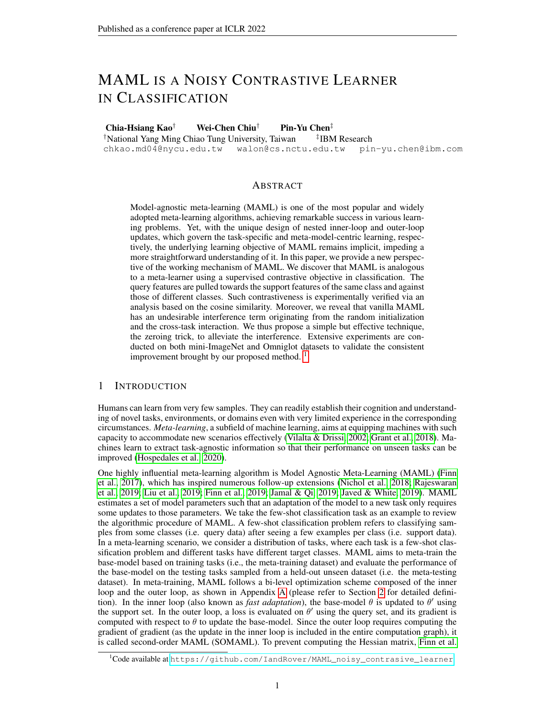show that the supervised contrastiveness is manifested with the application of the zeroing trick even if a semantically similar dataset is considered.

Figure 11: The supervised contrastiveness is veri ed even using dataset composing of semantically similar classes of imagesConsidering a dataset composing of different species of dogs, we again observe the tendency that the supervised contrastiveness is manifested when we zero-initialize the linear weight and apply the zeroing trick.

## D.4 EXPERIMENTAL RESULTS ON LARGER NUMBER OF SHOTS

To empirically verify if our theoretical derivation generalizes to the setting where the number of shots is large, we conduct experiment of a 5-way 25-shot classi cation task using FOMAML with four random seeds where we adopt mini-ImageNet as the example dataset. As shown in Figure 12, we observe that models trained with the zeroing trick again yield the best performance, consistent with our theoretical work that MAML with the zeroing trick is SCL without noises and interference.

Figure 12:The zeroing trick works when it comes to larger number of shots.To examine if our work generalized to the scenario when the number of shots increases, we perform a 5-way 25-shot classi cation task. The result agrees with our results of 5-way 1-shot and 5-way 5-shot.

# D.5 THE ZEROING TRICK MITIGATES THE CHANNEL MEMORIZATION PROBLEM

The channel memorization problem (Jamal & Qi, 2019; Rajendran et al., 2020) is a known issue occurring in a non-mutually-exclusive task setting, e.g., the task-speci-c class-to-label is not randomly assigned, and thus the label can be inferred from the query data alone (Yin et al., 2020). Consider a 5-way K-shot experiment where the total number of training classes is 5 Now we construct tasks by assigning the labelo a class sampled from class to  $(t + 1)$  L. It is conceivable that the model will learn to directly map the query data to the label without using the information of the support data and thus fails to generalize to unseen tasks. This phenomenon can be explained from the perspective that the column of the nal linear layer already accumulates the query features fromtL<sup>th</sup> to (t + 1) L<sup>th</sup> classes. Zeroing the nal linear layer implicitly forces the model to use the imprinted information from the support features for inferring the label and thus mitigates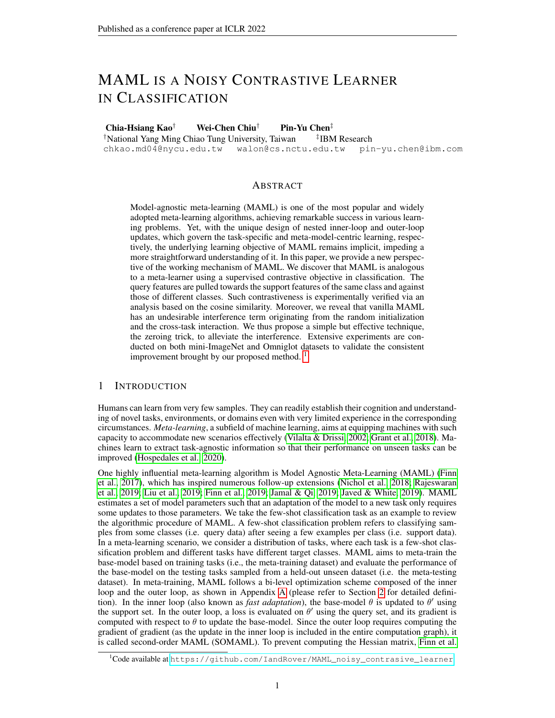this problem. We use the mini-ImageNet dataset and consider the case df2L As shown in Figure 13, the zeroing trick prevents the model from the channel memorization problem whereas zero-initialization of the linear layer only works out at the beginning. Besides, the performance of models trained with the zeroing trick under this non-mutually-exclusive task setting equals the ones under the conventional few-shot setting as shown in Figure 5. As the zeroing trick clears out the nal linear layer and equalizes the value of logits, our result essentially accords with Jamal & Qi (2019) that proposes a regularizer to maximize the entropy of prediction of the meta-initialized model.

Figure 13: The performance of the models trained on non-mutually exclusive tasks The models are trained under a non-mutually exclusive tasks setting where there is a one-to-one assignment between class and channel. Under this circumstance, the zeroing trick tackles the channel memorization problem and yields a performance similar to conventional few-shot settings.

# E EXPERIMENTS ONOMNIGLOT DATASET

Omniglot is a hand-written character dataset containing 1623 character classes, each with 20 drawn samples from different people (Lake et al., 2015). The dataset set is splitted into training (1028 classes), validation (172 classes) and testing (423 classes) sets (Vinyals et al., 2016). Since we follow Finn et al. (2017) for setting hyperparamters, we do not use the the validation data. The character images are resized to 28 28. For all our experiments, we adopt two experimental settings: 5 way 1-shot and 5-way 5-shot where the batch  $\frac{1}{2}R_{\text{coh}}$  is 32 and N<sub>query</sub> is 15 for both cases (Finn et al., 2017). The inner loop learning rates 0.4. The models are trained for 3000 iterations using FOMAML or SOMAML. The few-shot classi cation accuracy is calculated by averaging the results over 1000 tasks in the test stage. The model architecture follows the architecture used to train on mini-ImageNet, but we substitute the convolution with max-pooling with strided convolution operation as in Finn et al. (2017). The loss function, optimizer, and outer loop learning rate are the same as those used in the experiments on mini-ImageNet. Each experiment is run on either a single NVIDIA 1080-Ti. The results are averaged over four random seeds, and the standard deviation is illustrated with the shaded region. The models are trained using FOMAML unless stated otherwise. The detailed implementation is based on Deleu (2020) (MIT License).

We revisit the application of the zeroing trick at the testing stage on Omniglot in Figure 14 and observe the increasing testing accuracy, in which such results are compatible with the ones on mini-ImageNet (cf. Figure 3 in the main manuscript). In the following experiments, we evaluate the testing performance only after applying the zeroing trick.

In Figure 15, the distinction between the performance of models trained with the zeroing trick and zero-initialized models is prominent, sharing remarkable similarity with the results in mini-ImageNet (cf. Figure 5 in the main manuscript) in both 5-way 1-shot and 5-way 5-shot settings. We also show the testing performance of models trained using SOMAML in Figure 16 under a 5-way 5-shot setting, where there is little distinction in performance (in comparison to the results on mini-ImageNet, cf. Figure 10 in the main manuscript) between the models trained with the zeroing trick and the ones trained with random initialization.

For channel memorization task, we construct non-mutually-exclusive training tasks by assigning the labelt (where 1 t 5 in a few-shot 5-way setting) to a class sampled from dlast  $(t + 1)$  L where L is205 on Omniglot. The class-to-channel assignment is not applied to the testing tasks. The result is shown in Figure 17. For a detailed discussion, please refer to Section D.5.